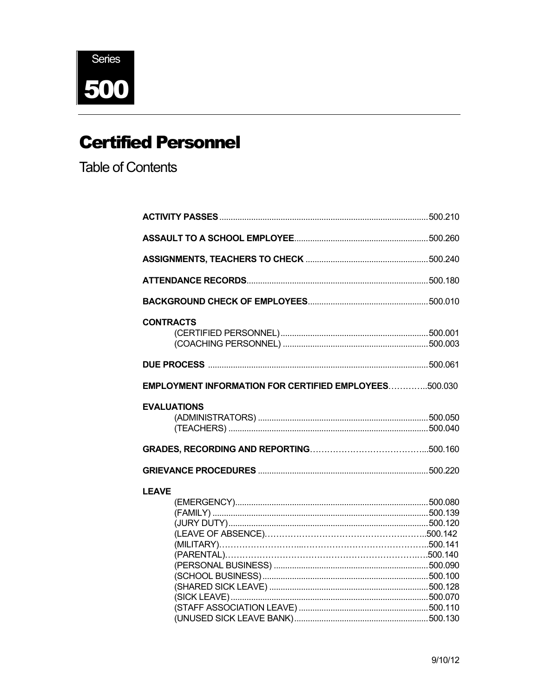

# **Certified Personnel**

**Table of Contents** 

| <b>CONTRACTS</b>                                             |  |
|--------------------------------------------------------------|--|
|                                                              |  |
|                                                              |  |
|                                                              |  |
| <b>EMPLOYMENT INFORMATION FOR CERTIFIED EMPLOYEES500.030</b> |  |
| <b>EVALUATIONS</b>                                           |  |
|                                                              |  |
|                                                              |  |
|                                                              |  |
|                                                              |  |
| <b>LEAVE</b>                                                 |  |
|                                                              |  |
|                                                              |  |
|                                                              |  |
|                                                              |  |
|                                                              |  |
|                                                              |  |
|                                                              |  |
|                                                              |  |
|                                                              |  |
|                                                              |  |
|                                                              |  |
|                                                              |  |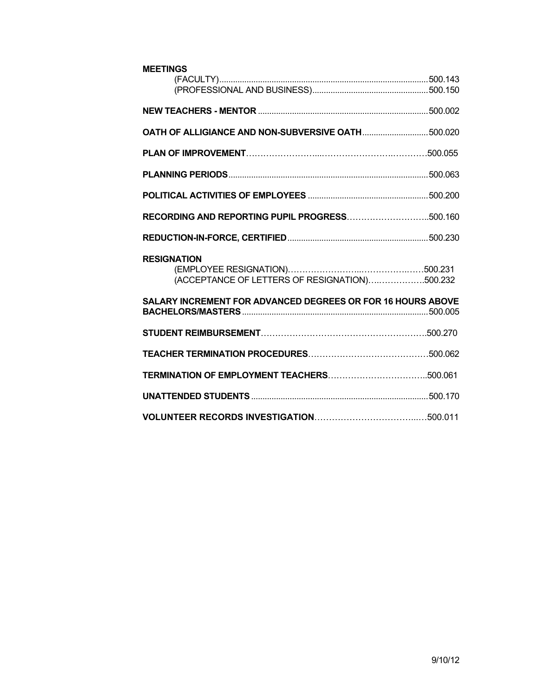| <b>MEETINGS</b>                                                     |  |
|---------------------------------------------------------------------|--|
|                                                                     |  |
|                                                                     |  |
| OATH OF ALLIGIANCE AND NON-SUBVERSIVE OATH500.020                   |  |
|                                                                     |  |
|                                                                     |  |
|                                                                     |  |
| RECORDING AND REPORTING PUPIL PROGRESS500.160                       |  |
|                                                                     |  |
| <b>RESIGNATION</b><br>(ACCEPTANCE OF LETTERS OF RESIGNATION)500.232 |  |
| <b>SALARY INCREMENT FOR ADVANCED DEGREES OR FOR 16 HOURS ABOVE</b>  |  |
|                                                                     |  |
|                                                                     |  |
|                                                                     |  |
|                                                                     |  |
|                                                                     |  |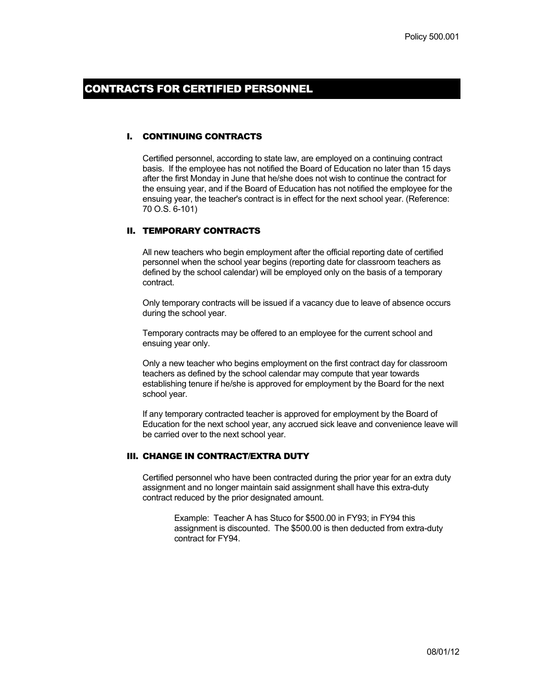## CONTRACTS FOR CERTIFIED PERSONNEL

#### I. CONTINUING CONTRACTS

Certified personnel, according to state law, are employed on a continuing contract basis. If the employee has not notified the Board of Education no later than 15 days after the first Monday in June that he/she does not wish to continue the contract for the ensuing year, and if the Board of Education has not notified the employee for the ensuing year, the teacher's contract is in effect for the next school year. (Reference: 70 O.S. 6-101)

#### II. TEMPORARY CONTRACTS

All new teachers who begin employment after the official reporting date of certified personnel when the school year begins (reporting date for classroom teachers as defined by the school calendar) will be employed only on the basis of a temporary contract.

Only temporary contracts will be issued if a vacancy due to leave of absence occurs during the school year.

Temporary contracts may be offered to an employee for the current school and ensuing year only.

Only a new teacher who begins employment on the first contract day for classroom teachers as defined by the school calendar may compute that year towards establishing tenure if he/she is approved for employment by the Board for the next school year.

If any temporary contracted teacher is approved for employment by the Board of Education for the next school year, any accrued sick leave and convenience leave will be carried over to the next school year.

#### III. CHANGE IN CONTRACT/EXTRA DUTY

Certified personnel who have been contracted during the prior year for an extra duty assignment and no longer maintain said assignment shall have this extra-duty contract reduced by the prior designated amount.

Example: Teacher A has Stuco for \$500.00 in FY93; in FY94 this assignment is discounted. The \$500.00 is then deducted from extra-duty contract for FY94.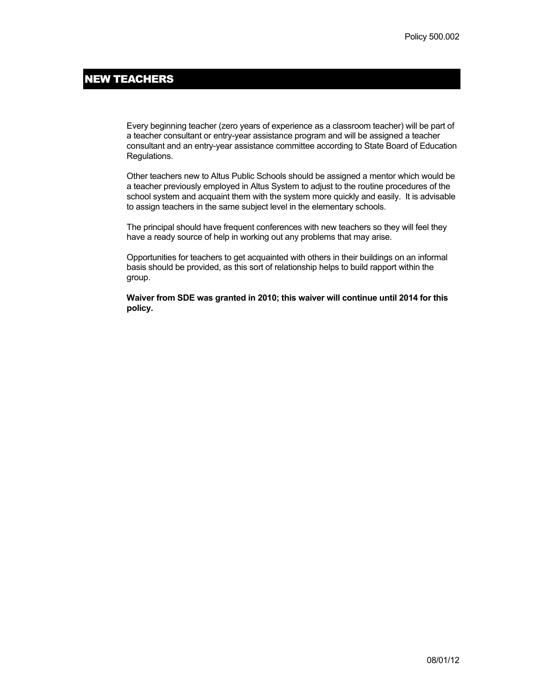### NEW TEACHERS

Every beginning teacher (zero years of experience as a classroom teacher) will be part of a teacher consultant or entry-year assistance program and will be assigned a teacher consultant and an entry-year assistance committee according to State Board of Education Regulations.

Other teachers new to Altus Public Schools should be assigned a mentor which would be a teacher previously employed in Altus System to adjust to the routine procedures of the school system and acquaint them with the system more quickly and easily. It is advisable to assign teachers in the same subject level in the elementary schools.

The principal should have frequent conferences with new teachers so they will feel they have a ready source of help in working out any problems that may arise.

Opportunities for teachers to get acquainted with others in their buildings on an informal basis should be provided, as this sort of relationship helps to build rapport within the group.

**Waiver from SDE was granted in 2010; this waiver will continue until 2014 for this policy.**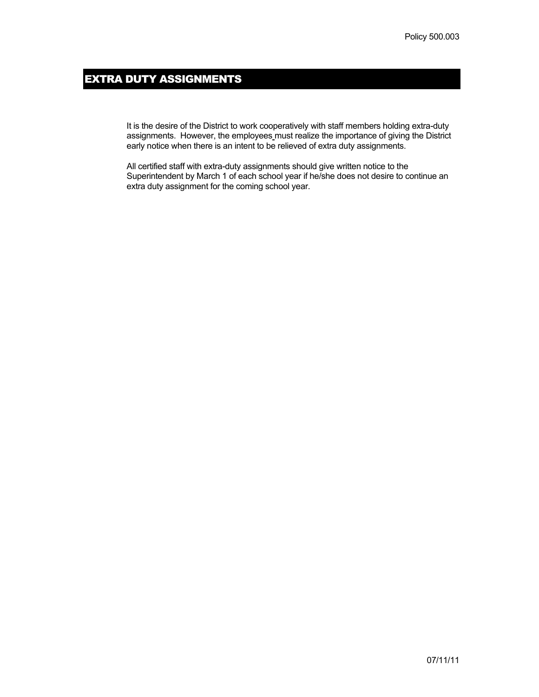# EXTRA DUTY ASSIGNMENTS

It is the desire of the District to work cooperatively with staff members holding extra-duty assignments. However, the employees must realize the importance of giving the District early notice when there is an intent to be relieved of extra duty assignments.

All certified staff with extra-duty assignments should give written notice to the Superintendent by March 1 of each school year if he/she does not desire to continue an extra duty assignment for the coming school year.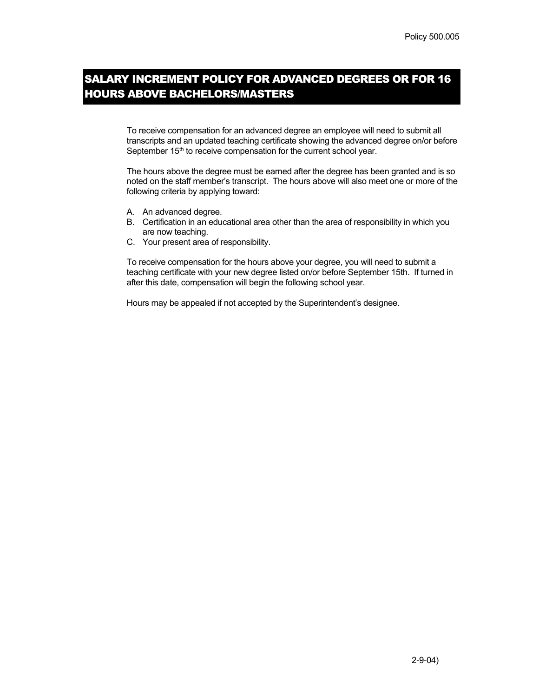## SALARY INCREMENT POLICY FOR ADVANCED DEGREES OR FOR 16 HOURS ABOVE BACHELORS/MASTERS

To receive compensation for an advanced degree an employee will need to submit all transcripts and an updated teaching certificate showing the advanced degree on/or before September 15<sup>th</sup> to receive compensation for the current school year.

The hours above the degree must be earned after the degree has been granted and is so noted on the staff member's transcript. The hours above will also meet one or more of the following criteria by applying toward:

- A. An advanced degree.
- B. Certification in an educational area other than the area of responsibility in which you are now teaching.
- C. Your present area of responsibility.

To receive compensation for the hours above your degree, you will need to submit a teaching certificate with your new degree listed on/or before September 15th. If turned in after this date, compensation will begin the following school year.

Hours may be appealed if not accepted by the Superintendent's designee.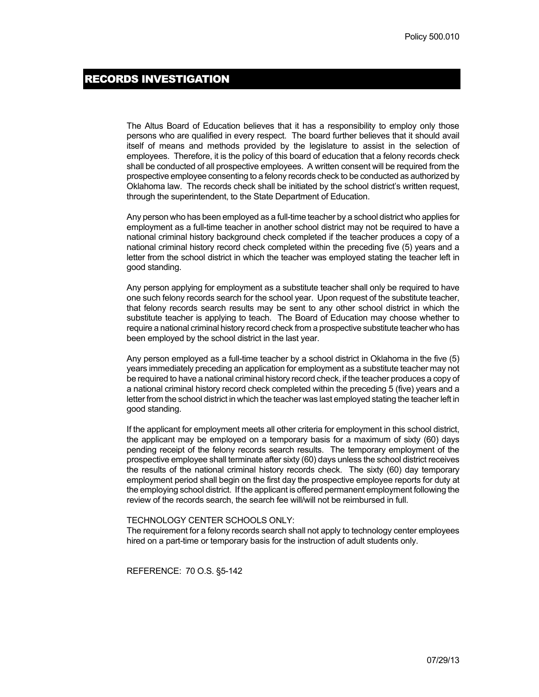#### RECORDS INVESTIGATION

The Altus Board of Education believes that it has a responsibility to employ only those persons who are qualified in every respect. The board further believes that it should avail itself of means and methods provided by the legislature to assist in the selection of employees. Therefore, it is the policy of this board of education that a felony records check shall be conducted of all prospective employees. A written consent will be required from the prospective employee consenting to a felony records check to be conducted as authorized by Oklahoma law. The records check shall be initiated by the school district's written request, through the superintendent, to the State Department of Education.

Any person who has been employed as a full-time teacher by a school district who applies for employment as a full-time teacher in another school district may not be required to have a national criminal history background check completed if the teacher produces a copy of a national criminal history record check completed within the preceding five (5) years and a letter from the school district in which the teacher was employed stating the teacher left in good standing.

Any person applying for employment as a substitute teacher shall only be required to have one such felony records search for the school year. Upon request of the substitute teacher, that felony records search results may be sent to any other school district in which the substitute teacher is applying to teach. The Board of Education may choose whether to require a national criminal history record check from a prospective substitute teacher who has been employed by the school district in the last year.

Any person employed as a full-time teacher by a school district in Oklahoma in the five (5) years immediately preceding an application for employment as a substitute teacher may not be required to have a national criminal history record check, if the teacher produces a copy of a national criminal history record check completed within the preceding 5 (five) years and a letter from the school district in which the teacher was last employed stating the teacher left in good standing.

If the applicant for employment meets all other criteria for employment in this school district, the applicant may be employed on a temporary basis for a maximum of sixty (60) days pending receipt of the felony records search results. The temporary employment of the prospective employee shall terminate after sixty (60) days unless the school district receives the results of the national criminal history records check. The sixty (60) day temporary employment period shall begin on the first day the prospective employee reports for duty at the employing school district. If the applicant is offered permanent employment following the review of the records search, the search fee will/will not be reimbursed in full.

#### TECHNOLOGY CENTER SCHOOLS ONLY:

The requirement for a felony records search shall not apply to technology center employees hired on a part-time or temporary basis for the instruction of adult students only.

REFERENCE: 70 O.S. §5-142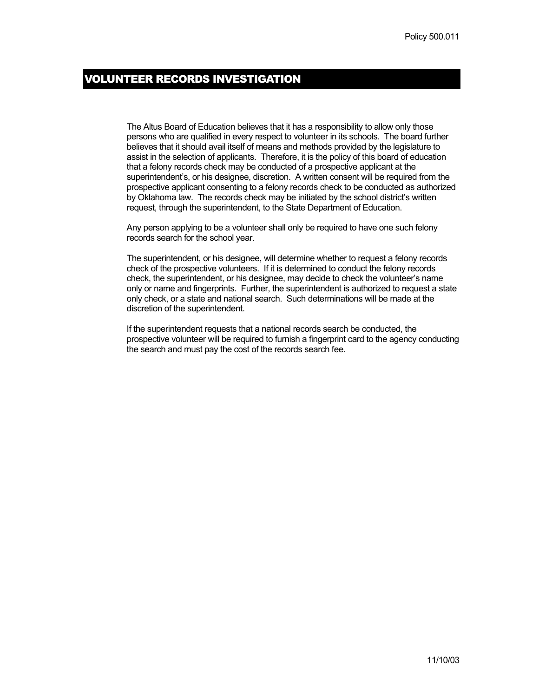# VOLUNTEER RECORDS INVESTIGATION

The Altus Board of Education believes that it has a responsibility to allow only those persons who are qualified in every respect to volunteer in its schools. The board further believes that it should avail itself of means and methods provided by the legislature to assist in the selection of applicants. Therefore, it is the policy of this board of education that a felony records check may be conducted of a prospective applicant at the superintendent's, or his designee, discretion. A written consent will be required from the prospective applicant consenting to a felony records check to be conducted as authorized by Oklahoma law. The records check may be initiated by the school district's written request, through the superintendent, to the State Department of Education.

Any person applying to be a volunteer shall only be required to have one such felony records search for the school year.

The superintendent, or his designee, will determine whether to request a felony records check of the prospective volunteers. If it is determined to conduct the felony records check, the superintendent, or his designee, may decide to check the volunteer's name only or name and fingerprints. Further, the superintendent is authorized to request a state only check, or a state and national search. Such determinations will be made at the discretion of the superintendent.

If the superintendent requests that a national records search be conducted, the prospective volunteer will be required to furnish a fingerprint card to the agency conducting the search and must pay the cost of the records search fee.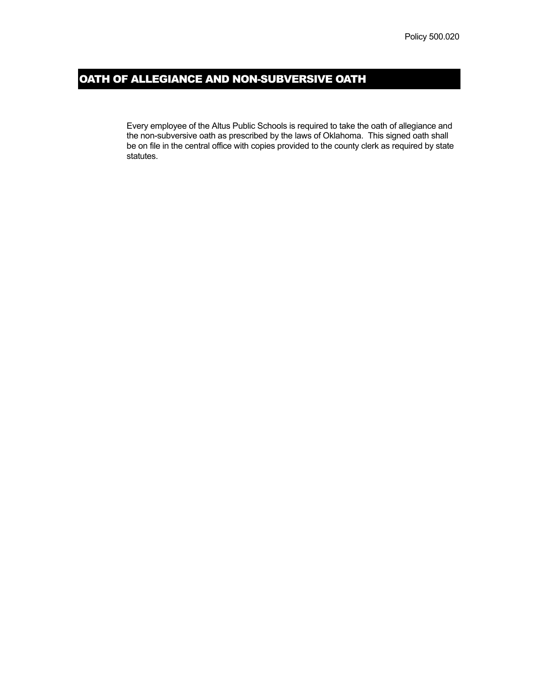# OATH OF ALLEGIANCE AND NON-SUBVERSIVE OATH

Every employee of the Altus Public Schools is required to take the oath of allegiance and the non-subversive oath as prescribed by the laws of Oklahoma. This signed oath shall be on file in the central office with copies provided to the county clerk as required by state statutes.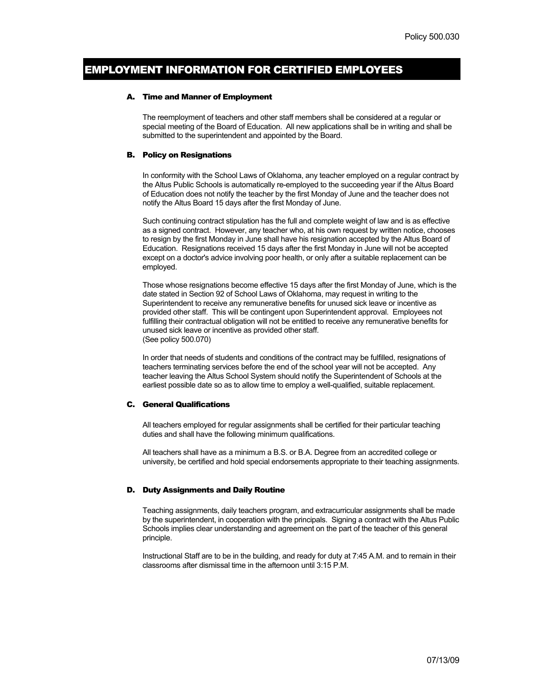#### EMPLOYMENT INFORMATION FOR CERTIFIED EMPLOYEES

#### A. Time and Manner of Employment

The reemployment of teachers and other staff members shall be considered at a regular or special meeting of the Board of Education. All new applications shall be in writing and shall be submitted to the superintendent and appointed by the Board.

#### B. Policy on Resignations

In conformity with the School Laws of Oklahoma, any teacher employed on a regular contract by the Altus Public Schools is automatically re-employed to the succeeding year if the Altus Board of Education does not notify the teacher by the first Monday of June and the teacher does not notify the Altus Board 15 days after the first Monday of June.

Such continuing contract stipulation has the full and complete weight of law and is as effective as a signed contract. However, any teacher who, at his own request by written notice, chooses to resign by the first Monday in June shall have his resignation accepted by the Altus Board of Education. Resignations received 15 days after the first Monday in June will not be accepted except on a doctor's advice involving poor health, or only after a suitable replacement can be employed.

Those whose resignations become effective 15 days after the first Monday of June, which is the date stated in Section 92 of School Laws of Oklahoma, may request in writing to the Superintendent to receive any remunerative benefits for unused sick leave or incentive as provided other staff. This will be contingent upon Superintendent approval. Employees not fulfilling their contractual obligation will not be entitled to receive any remunerative benefits for unused sick leave or incentive as provided other staff. (See policy 500.070)

In order that needs of students and conditions of the contract may be fulfilled, resignations of teachers terminating services before the end of the school year will not be accepted. Any teacher leaving the Altus School System should notify the Superintendent of Schools at the earliest possible date so as to allow time to employ a well-qualified, suitable replacement.

#### C. General Qualifications

All teachers employed for regular assignments shall be certified for their particular teaching duties and shall have the following minimum qualifications.

All teachers shall have as a minimum a B.S. or B.A. Degree from an accredited college or university, be certified and hold special endorsements appropriate to their teaching assignments.

#### D. Duty Assignments and Daily Routine

Teaching assignments, daily teachers program, and extracurricular assignments shall be made by the superintendent, in cooperation with the principals. Signing a contract with the Altus Public Schools implies clear understanding and agreement on the part of the teacher of this general principle.

Instructional Staff are to be in the building, and ready for duty at 7:45 A.M. and to remain in their classrooms after dismissal time in the afternoon until 3:15 P.M.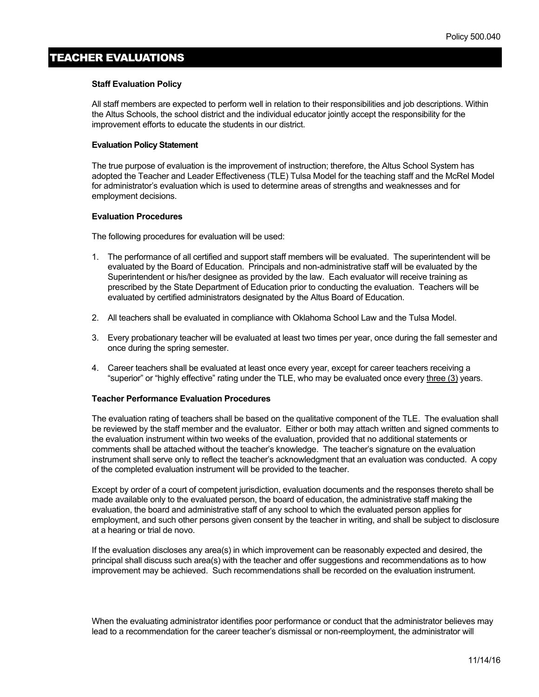#### TEACHER EVALUATIONS

#### **Staff Evaluation Policy**

All staff members are expected to perform well in relation to their responsibilities and job descriptions. Within the Altus Schools, the school district and the individual educator jointly accept the responsibility for the improvement efforts to educate the students in our district.

#### **Evaluation Policy Statement**

The true purpose of evaluation is the improvement of instruction; therefore, the Altus School System has adopted the Teacher and Leader Effectiveness (TLE) Tulsa Model for the teaching staff and the McRel Model for administrator's evaluation which is used to determine areas of strengths and weaknesses and for employment decisions.

#### **Evaluation Procedures**

The following procedures for evaluation will be used:

- 1. The performance of all certified and support staff members will be evaluated. The superintendent will be evaluated by the Board of Education. Principals and non-administrative staff will be evaluated by the Superintendent or his/her designee as provided by the law. Each evaluator will receive training as prescribed by the State Department of Education prior to conducting the evaluation. Teachers will be evaluated by certified administrators designated by the Altus Board of Education.
- 2. All teachers shall be evaluated in compliance with Oklahoma School Law and the Tulsa Model.
- 3. Every probationary teacher will be evaluated at least two times per year, once during the fall semester and once during the spring semester.
- 4. Career teachers shall be evaluated at least once every year, except for career teachers receiving a "superior" or "highly effective" rating under the TLE, who may be evaluated once every three (3) years.

#### **Teacher Performance Evaluation Procedures**

The evaluation rating of teachers shall be based on the qualitative component of the TLE. The evaluation shall be reviewed by the staff member and the evaluator. Either or both may attach written and signed comments to the evaluation instrument within two weeks of the evaluation, provided that no additional statements or comments shall be attached without the teacher's knowledge. The teacher's signature on the evaluation instrument shall serve only to reflect the teacher's acknowledgment that an evaluation was conducted. A copy of the completed evaluation instrument will be provided to the teacher.

Except by order of a court of competent jurisdiction, evaluation documents and the responses thereto shall be made available only to the evaluated person, the board of education, the administrative staff making the evaluation, the board and administrative staff of any school to which the evaluated person applies for employment, and such other persons given consent by the teacher in writing, and shall be subject to disclosure at a hearing or trial de novo.

If the evaluation discloses any area(s) in which improvement can be reasonably expected and desired, the principal shall discuss such area(s) with the teacher and offer suggestions and recommendations as to how improvement may be achieved. Such recommendations shall be recorded on the evaluation instrument.

When the evaluating administrator identifies poor performance or conduct that the administrator believes may lead to a recommendation for the career teacher's dismissal or non-reemployment, the administrator will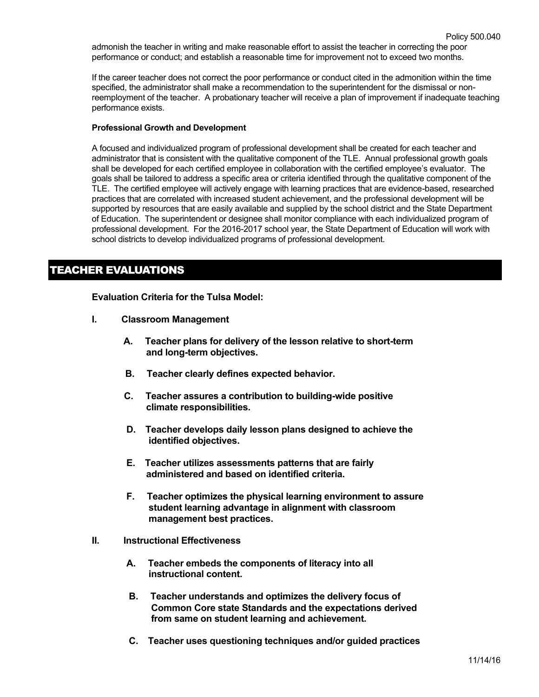admonish the teacher in writing and make reasonable effort to assist the teacher in correcting the poor performance or conduct; and establish a reasonable time for improvement not to exceed two months.

If the career teacher does not correct the poor performance or conduct cited in the admonition within the time specified, the administrator shall make a recommendation to the superintendent for the dismissal or nonreemployment of the teacher. A probationary teacher will receive a plan of improvement if inadequate teaching performance exists.

#### **Professional Growth and Development**

A focused and individualized program of professional development shall be created for each teacher and administrator that is consistent with the qualitative component of the TLE. Annual professional growth goals shall be developed for each certified employee in collaboration with the certified employee's evaluator. The goals shall be tailored to address a specific area or criteria identified through the qualitative component of the TLE. The certified employee will actively engage with learning practices that are evidence-based, researched practices that are correlated with increased student achievement, and the professional development will be supported by resources that are easily available and supplied by the school district and the State Department of Education. The superintendent or designee shall monitor compliance with each individualized program of professional development. For the 2016-2017 school year, the State Department of Education will work with school districts to develop individualized programs of professional development.

#### TEACHER EVALUATIONS

**Evaluation Criteria for the Tulsa Model:**

- **I. Classroom Management**
	- **A. Teacher plans for delivery of the lesson relative to short-term and long-term objectives.**
	- **B. Teacher clearly defines expected behavior.**
	- **C. Teacher assures a contribution to building-wide positive climate responsibilities.**
	- **D. Teacher develops daily lesson plans designed to achieve the identified objectives.**
	- **E. Teacher utilizes assessments patterns that are fairly administered and based on identified criteria.**
	- **F. Teacher optimizes the physical learning environment to assure student learning advantage in alignment with classroom management best practices.**
- **II. Instructional Effectiveness**
	- **A. Teacher embeds the components of literacy into all instructional content.**
	- **B. Teacher understands and optimizes the delivery focus of Common Core state Standards and the expectations derived from same on student learning and achievement.**
	- **C. Teacher uses questioning techniques and/or guided practices**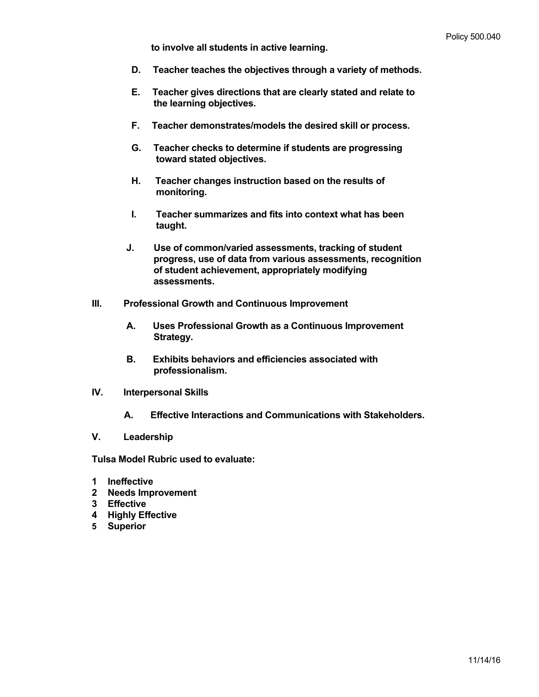**to involve all students in active learning.**

- **D. Teacher teaches the objectives through a variety of methods.**
- **E. Teacher gives directions that are clearly stated and relate to the learning objectives.**
- **F. Teacher demonstrates/models the desired skill or process.**
- **G. Teacher checks to determine if students are progressing toward stated objectives.**
- **H. Teacher changes instruction based on the results of monitoring.**
- **I. Teacher summarizes and fits into context what has been taught.**
- **J. Use of common/varied assessments, tracking of student progress, use of data from various assessments, recognition of student achievement, appropriately modifying assessments.**
- **III. Professional Growth and Continuous Improvement**
	- **A. Uses Professional Growth as a Continuous Improvement Strategy.**
	- **B. Exhibits behaviors and efficiencies associated with professionalism.**
- **IV. Interpersonal Skills**
	- **A. Effective Interactions and Communications with Stakeholders.**
- **V. Leadership**

**Tulsa Model Rubric used to evaluate:**

- **1 Ineffective**
- **2 Needs Improvement**
- **3 Effective**
- **4 Highly Effective**
- **5 Superior**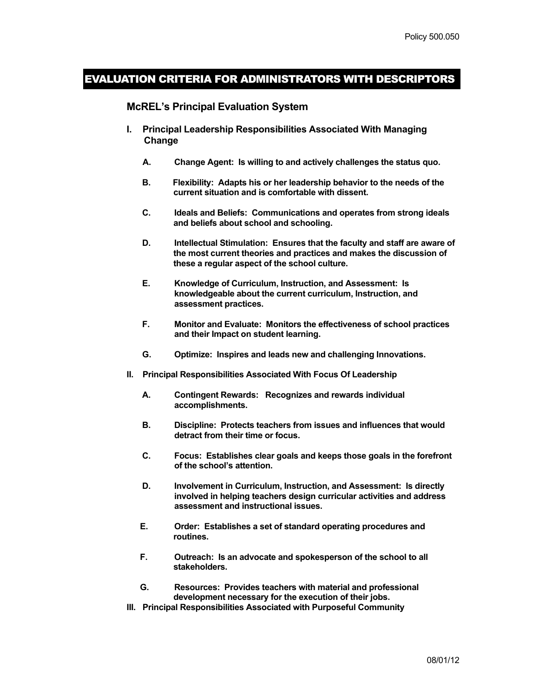### EVALUATION CRITERIA FOR ADMINISTRATORS WITH DESCRIPTORS

#### **McREL's Principal Evaluation System**

- **I. Principal Leadership Responsibilities Associated With Managing Change**
	- **A. Change Agent: Is willing to and actively challenges the status quo.**
	- **B. Flexibility: Adapts his or her leadership behavior to the needs of the current situation and is comfortable with dissent.**
	- **C. Ideals and Beliefs: Communications and operates from strong ideals and beliefs about school and schooling.**
	- **D. Intellectual Stimulation: Ensures that the faculty and staff are aware of the most current theories and practices and makes the discussion of these a regular aspect of the school culture.**
	- **E. Knowledge of Curriculum, Instruction, and Assessment: Is knowledgeable about the current curriculum, Instruction, and assessment practices.**
	- **F. Monitor and Evaluate: Monitors the effectiveness of school practices and their Impact on student learning.**
	- **G. Optimize: Inspires and leads new and challenging Innovations.**
- **II. Principal Responsibilities Associated With Focus Of Leadership**
	- **A. Contingent Rewards: Recognizes and rewards individual accomplishments.**
	- **B. Discipline: Protects teachers from issues and influences that would detract from their time or focus.**
	- **C. Focus: Establishes clear goals and keeps those goals in the forefront of the school's attention.**
	- **D. Involvement in Curriculum, Instruction, and Assessment: Is directly involved in helping teachers design curricular activities and address assessment and instructional issues.**
	- **E. Order: Establishes a set of standard operating procedures and routines.**
	- **F. Outreach: Is an advocate and spokesperson of the school to all stakeholders.**
	- **G. Resources: Provides teachers with material and professional development necessary for the execution of their jobs.**
- **III. Principal Responsibilities Associated with Purposeful Community**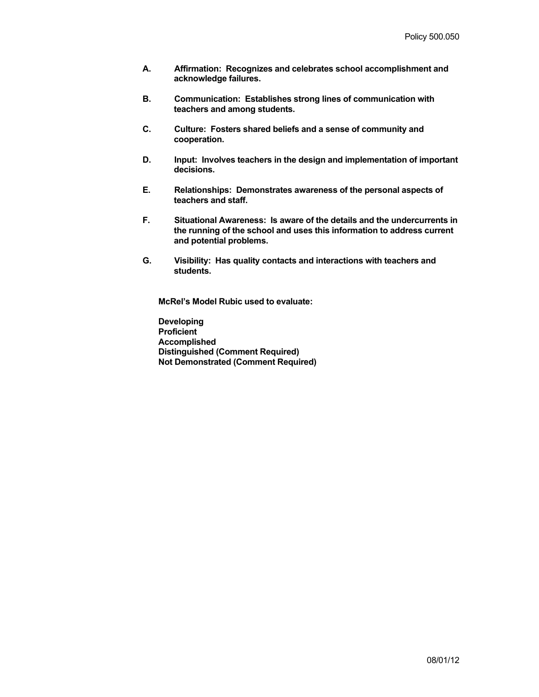- **A. Affirmation: Recognizes and celebrates school accomplishment and acknowledge failures.**
- **B. Communication: Establishes strong lines of communication with teachers and among students.**
- **C. Culture: Fosters shared beliefs and a sense of community and cooperation.**
- **D. Input: Involves teachers in the design and implementation of important decisions.**
- **E. Relationships: Demonstrates awareness of the personal aspects of teachers and staff.**
- **F. Situational Awareness: Is aware of the details and the undercurrents in the running of the school and uses this information to address current and potential problems.**
- **G. Visibility: Has quality contacts and interactions with teachers and students.**

**McRel's Model Rubic used to evaluate:**

**Developing Proficient Accomplished Distinguished (Comment Required) Not Demonstrated (Comment Required)**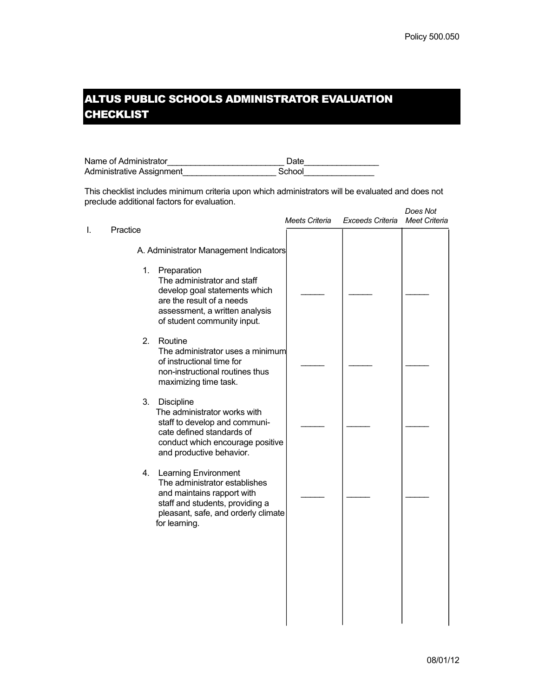# ALTUS PUBLIC SCHOOLS ADMINISTRATOR EVALUATION CHECKLIST

| Name of Administrator     | Date   |
|---------------------------|--------|
| Administrative Assignment | School |

This checklist includes minimum criteria upon which administrators will be evaluated and does not preclude additional factors for evaluation. *Does Not*

|    |                                                                                                                                                                                             | Meets Criteria | Exceeds Criteria | Meet Criteria |
|----|---------------------------------------------------------------------------------------------------------------------------------------------------------------------------------------------|----------------|------------------|---------------|
| I. | Practice                                                                                                                                                                                    |                |                  |               |
|    | A. Administrator Management Indicators                                                                                                                                                      |                |                  |               |
|    | Preparation<br>1.<br>The administrator and staff<br>develop goal statements which<br>are the result of a needs<br>assessment, a written analysis<br>of student community input.             |                |                  |               |
|    | 2.<br>Routine<br>The administrator uses a minimum<br>of instructional time for<br>non-instructional routines thus<br>maximizing time task.                                                  |                |                  |               |
|    | 3.<br><b>Discipline</b><br>The administrator works with<br>staff to develop and communi-<br>cate defined standards of<br>conduct which encourage positive<br>and productive behavior.       |                |                  |               |
|    | 4.<br><b>Learning Environment</b><br>The administrator establishes<br>and maintains rapport with<br>staff and students, providing a<br>pleasant, safe, and orderly climate<br>for learning. |                |                  |               |
|    |                                                                                                                                                                                             |                |                  |               |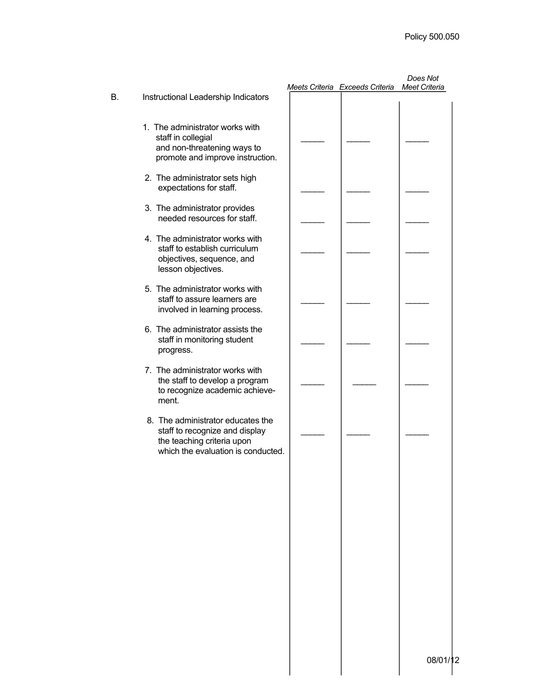*Does Not*

- B. Instructional Leadership Indicators
	- 1. The administrator works with staff in collegial and non-threatening ways to promote and improve instruction.
	- 2. The administrator sets high expectations for staff.
	- 3. The administrator provides needed resources for staff.
	- 4. The administrator works with staff to establish curriculum objectives, sequence, and lesson objectives.
	- 5. The administrator works with staff to assure learners are involved in learning process.
	- 6. The administrator assists the staff in monitoring student progress.
	- 7. The administrator works with the staff to develop a program to recognize academic achieve ment.
	- 8. The administrator educates the staff to recognize and display the teaching criteria upon which the evaluation is conducted.

| Meets Criteria Exceeds Criteria Meet Criteria |  |
|-----------------------------------------------|--|
|                                               |  |
|                                               |  |
|                                               |  |
|                                               |  |
|                                               |  |
|                                               |  |
|                                               |  |
|                                               |  |
|                                               |  |
|                                               |  |
|                                               |  |
|                                               |  |
|                                               |  |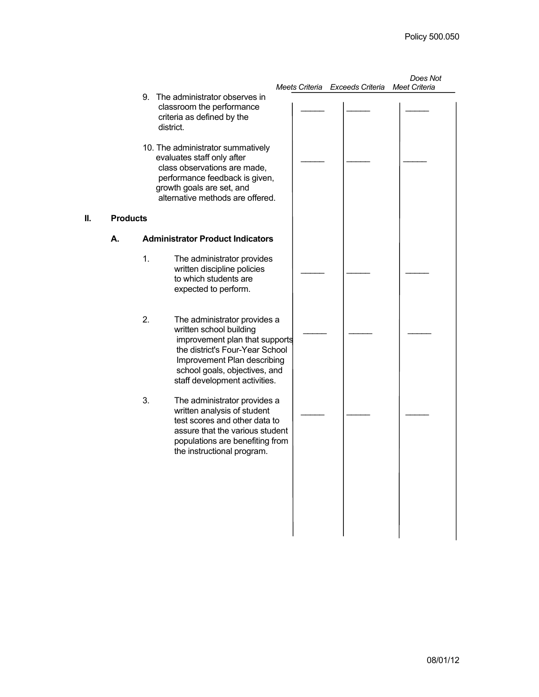*Does Not*

- 9. The administrator observes in classroom the performance criteria as defined by the district.
- 10. The administrator summatively evaluates staff only after \_\_\_\_\_ \_\_\_\_\_ \_\_\_\_\_ class observations are made, performance feedback is given, growth goals are set, and alternative methods are offered.

#### **II. Products**

#### **A. Administrator Product Indicators**

- 1. The administrator provides written discipline policies to which students are expected to perform.
- 2. The administrator provides written school building improvement plan that sup the district's Four-Year Sch Improvement Plan describ school goals, objectives, a staff development activities.
- 3. The administrator provides written analysis of student test scores and other data assure that the various student populations are benefiting the instructional program.

|                                      |  | Meets Criteria Exceeds Criteria | Meet Criteria |
|--------------------------------------|--|---------------------------------|---------------|
|                                      |  |                                 |               |
|                                      |  |                                 |               |
| ı,<br>J.                             |  |                                 |               |
| 5                                    |  |                                 |               |
| 5                                    |  |                                 |               |
| ; a<br>pports<br>hool<br>ping<br>and |  |                                 |               |
| S.<br>; a<br>to<br>dent<br>from      |  |                                 |               |
|                                      |  |                                 |               |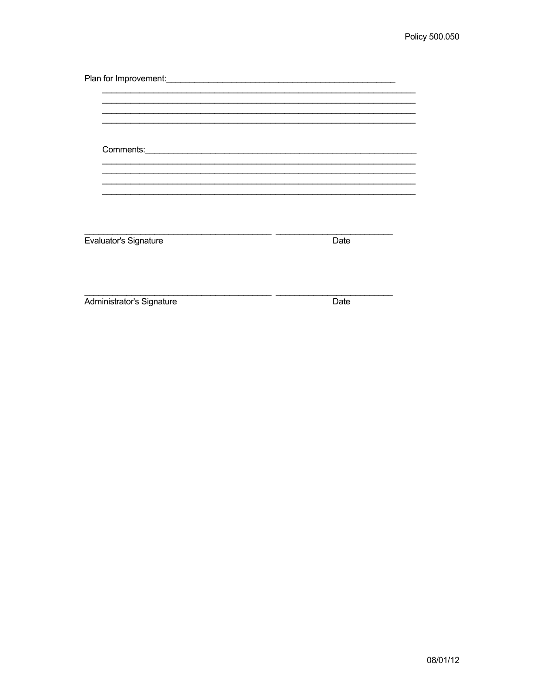| Evaluator's Signature     | Date |
|---------------------------|------|
|                           |      |
|                           |      |
| Administrator's Signature | Date |
|                           |      |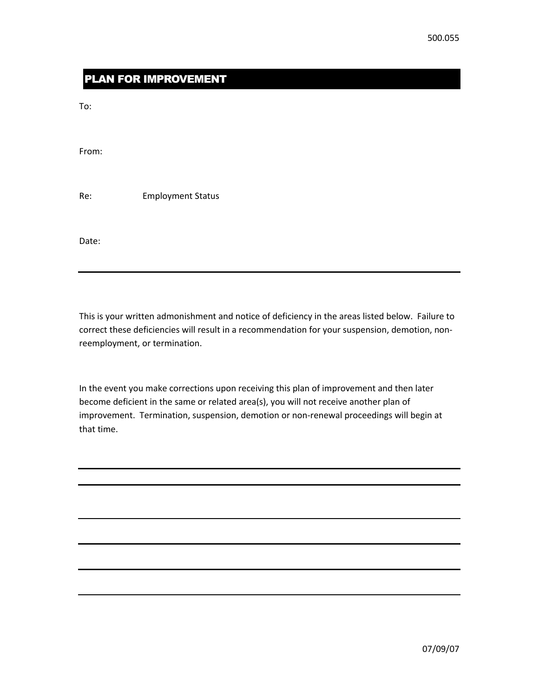### PLAN FOR IMPROVEMENT

To:

From:

Re: Employment Status

Date:

This is your written admonishment and notice of deficiency in the areas listed below. Failure to correct these deficiencies will result in a recommendation for your suspension, demotion, nonreemployment, or termination.

In the event you make corrections upon receiving this plan of improvement and then later become deficient in the same or related area(s), you will not receive another plan of improvement. Termination, suspension, demotion or non-renewal proceedings will begin at that time.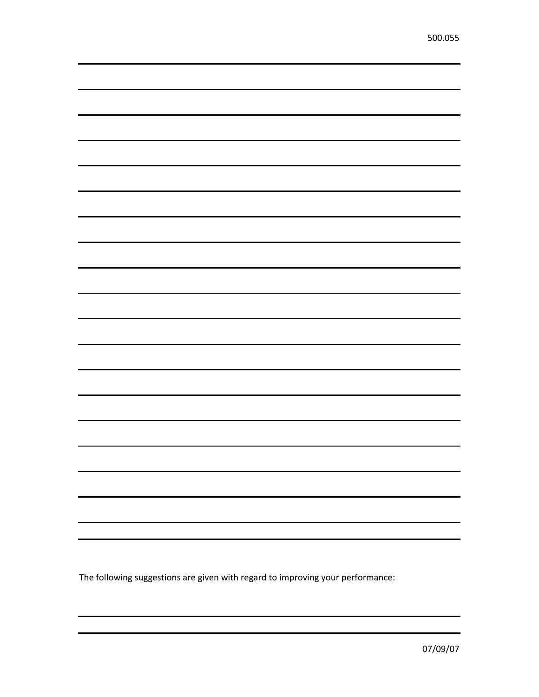The following suggestions are given with regard to improving your performance: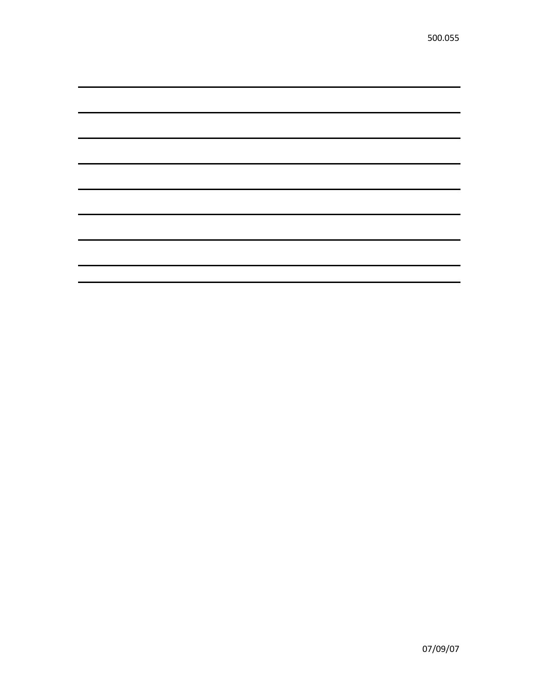| $\overline{\phantom{0}}$ |
|--------------------------|
|                          |
|                          |
| $\overline{\phantom{a}}$ |
|                          |
|                          |
|                          |
| $\overline{\phantom{a}}$ |
|                          |
|                          |
|                          |
|                          |
|                          |
|                          |
|                          |
|                          |
|                          |
|                          |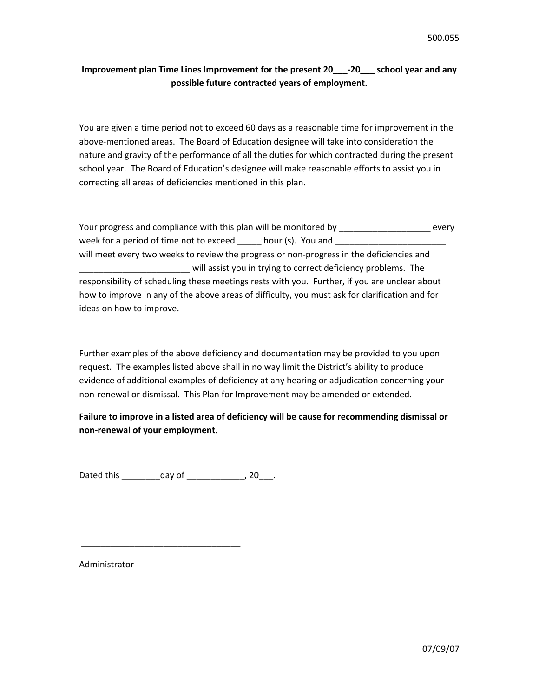#### **Improvement plan Time Lines Improvement for the present 20\_\_\_-20\_\_\_ school year and any possible future contracted years of employment.**

You are given a time period not to exceed 60 days as a reasonable time for improvement in the above-mentioned areas. The Board of Education designee will take into consideration the nature and gravity of the performance of all the duties for which contracted during the present school year. The Board of Education's designee will make reasonable efforts to assist you in correcting all areas of deficiencies mentioned in this plan.

Your progress and compliance with this plan will be monitored by \_\_\_\_\_\_\_\_\_\_\_\_\_\_\_\_\_\_\_\_\_\_ every week for a period of time not to exceed hour (s). You and will meet every two weeks to review the progress or non-progress in the deficiencies and will assist you in trying to correct deficiency problems. The responsibility of scheduling these meetings rests with you. Further, if you are unclear about how to improve in any of the above areas of difficulty, you must ask for clarification and for ideas on how to improve.

Further examples of the above deficiency and documentation may be provided to you upon request. The examples listed above shall in no way limit the District's ability to produce evidence of additional examples of deficiency at any hearing or adjudication concerning your non-renewal or dismissal. This Plan for Improvement may be amended or extended.

**Failure to improve in a listed area of deficiency will be cause for recommending dismissal or non-renewal of your employment.**

Dated this day of the case of the case of the case of the case of the case of the case of the case of the case

\_\_\_\_\_\_\_\_\_\_\_\_\_\_\_\_\_\_\_\_\_\_\_\_\_\_\_\_\_\_\_\_\_

Administrator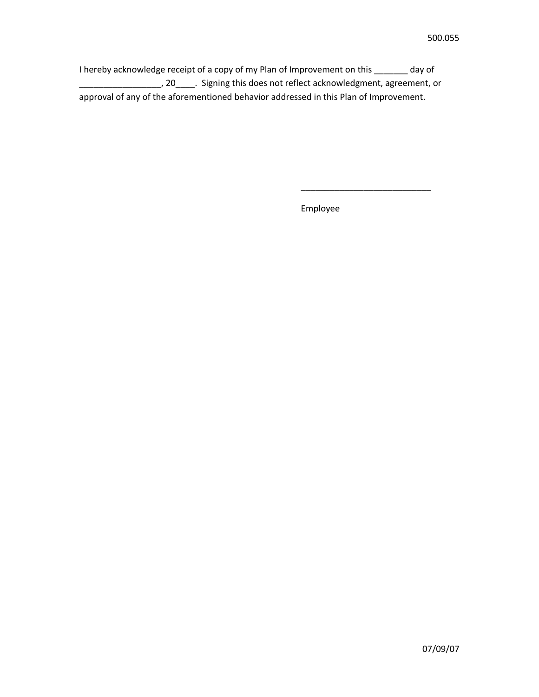I hereby acknowledge receipt of a copy of my Plan of Improvement on this \_\_\_\_\_\_\_ day of Logible 20 Legislang this does not reflect acknowledgment, agreement, or approval of any of the aforementioned behavior addressed in this Plan of Improvement.

Employee

\_\_\_\_\_\_\_\_\_\_\_\_\_\_\_\_\_\_\_\_\_\_\_\_\_\_\_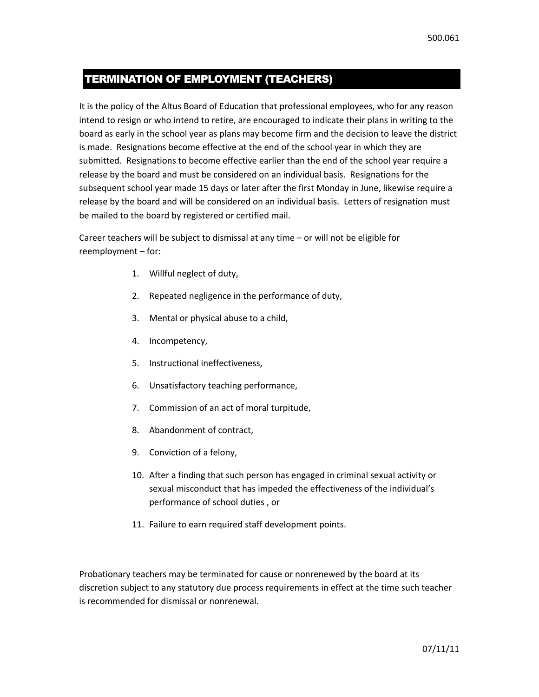### TERMINATION OF EMPLOYMENT (TEACHERS)

It is the policy of the Altus Board of Education that professional employees, who for any reason intend to resign or who intend to retire, are encouraged to indicate their plans in writing to the board as early in the school year as plans may become firm and the decision to leave the district is made. Resignations become effective at the end of the school year in which they are submitted. Resignations to become effective earlier than the end of the school year require a release by the board and must be considered on an individual basis. Resignations for the subsequent school year made 15 days or later after the first Monday in June, likewise require a release by the board and will be considered on an individual basis. Letters of resignation must be mailed to the board by registered or certified mail.

Career teachers will be subject to dismissal at any time – or will not be eligible for reemployment – for:

- 1. Willful neglect of duty,
- 2. Repeated negligence in the performance of duty,
- 3. Mental or physical abuse to a child,
- 4. Incompetency,
- 5. Instructional ineffectiveness,
- 6. Unsatisfactory teaching performance,
- 7. Commission of an act of moral turpitude,
- 8. Abandonment of contract,
- 9. Conviction of a felony,
- 10. After a finding that such person has engaged in criminal sexual activity or sexual misconduct that has impeded the effectiveness of the individual's performance of school duties , or
- 11. Failure to earn required staff development points.

Probationary teachers may be terminated for cause or nonrenewed by the board at its discretion subject to any statutory due process requirements in effect at the time such teacher is recommended for dismissal or nonrenewal.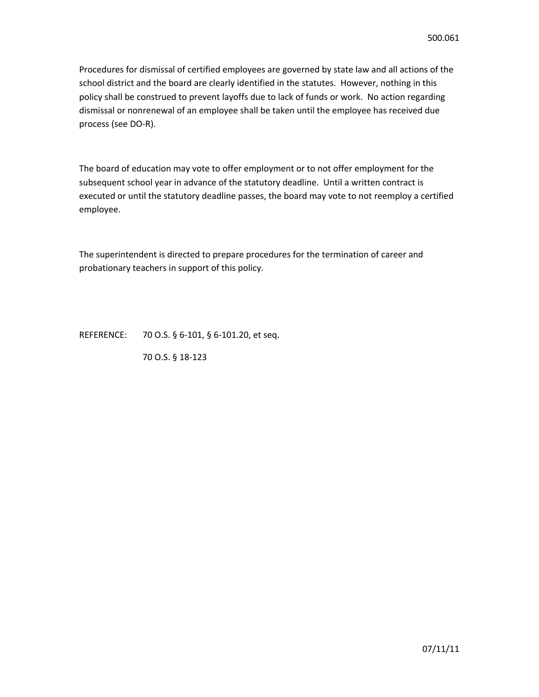Procedures for dismissal of certified employees are governed by state law and all actions of the school district and the board are clearly identified in the statutes. However, nothing in this policy shall be construed to prevent layoffs due to lack of funds or work. No action regarding dismissal or nonrenewal of an employee shall be taken until the employee has received due process (see DO-R).

The board of education may vote to offer employment or to not offer employment for the subsequent school year in advance of the statutory deadline. Until a written contract is executed or until the statutory deadline passes, the board may vote to not reemploy a certified employee.

The superintendent is directed to prepare procedures for the termination of career and probationary teachers in support of this policy.

REFERENCE: 70 O.S. § 6-101, § 6-101.20, et seq.

70 O.S. § 18-123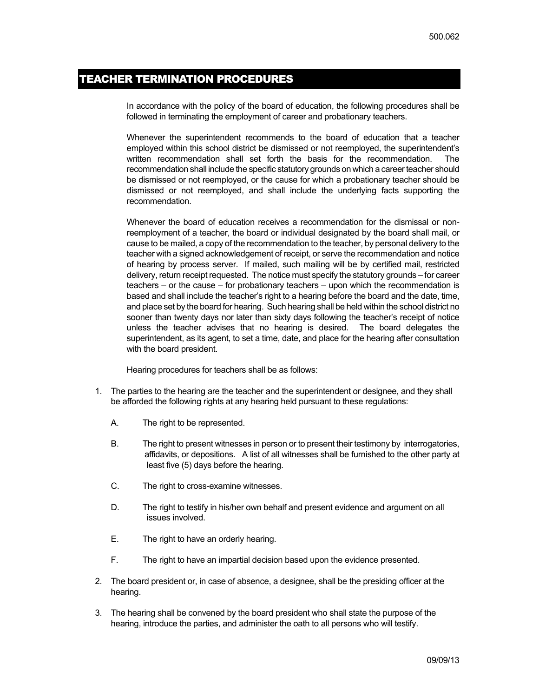#### TEACHER TERMINATION PROCEDURES

In accordance with the policy of the board of education, the following procedures shall be followed in terminating the employment of career and probationary teachers.

Whenever the superintendent recommends to the board of education that a teacher employed within this school district be dismissed or not reemployed, the superintendent's written recommendation shall set forth the basis for the recommendation. The recommendation shall include the specific statutory grounds on which a career teacher should be dismissed or not reemployed, or the cause for which a probationary teacher should be dismissed or not reemployed, and shall include the underlying facts supporting the recommendation.

Whenever the board of education receives a recommendation for the dismissal or nonreemployment of a teacher, the board or individual designated by the board shall mail, or cause to be mailed, a copy of the recommendation to the teacher, by personal delivery to the teacher with a signed acknowledgement of receipt, or serve the recommendation and notice of hearing by process server. If mailed, such mailing will be by certified mail, restricted delivery, return receipt requested. The notice must specify the statutory grounds – for career teachers – or the cause – for probationary teachers – upon which the recommendation is based and shall include the teacher's right to a hearing before the board and the date, time, and place set by the board for hearing. Such hearing shall be held within the school district no sooner than twenty days nor later than sixty days following the teacher's receipt of notice unless the teacher advises that no hearing is desired. The board delegates the superintendent, as its agent, to set a time, date, and place for the hearing after consultation with the board president.

Hearing procedures for teachers shall be as follows:

- 1. The parties to the hearing are the teacher and the superintendent or designee, and they shall be afforded the following rights at any hearing held pursuant to these regulations:
	- A. The right to be represented.
	- B. The right to present witnesses in person or to present their testimony by interrogatories, affidavits, or depositions. A list of all witnesses shall be furnished to the other party at least five (5) days before the hearing.
	- C. The right to cross-examine witnesses.
	- D. The right to testify in his/her own behalf and present evidence and argument on all issues involved.
	- E. The right to have an orderly hearing.
	- F. The right to have an impartial decision based upon the evidence presented.
- 2. The board president or, in case of absence, a designee, shall be the presiding officer at the hearing.
- 3. The hearing shall be convened by the board president who shall state the purpose of the hearing, introduce the parties, and administer the oath to all persons who will testify.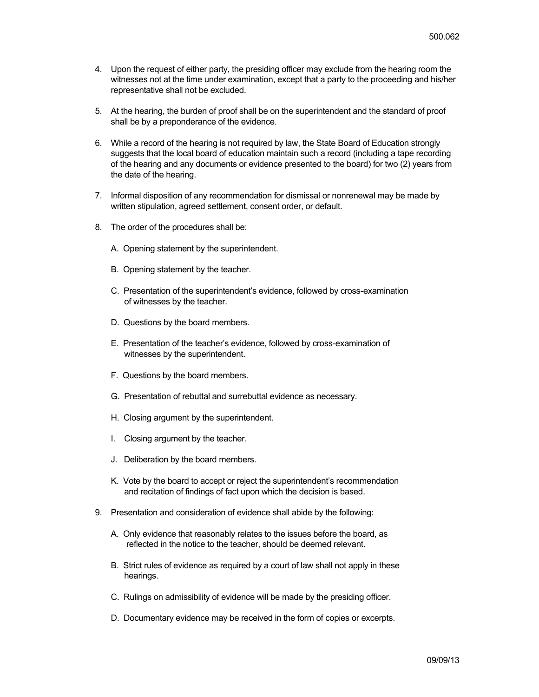- 4. Upon the request of either party, the presiding officer may exclude from the hearing room the witnesses not at the time under examination, except that a party to the proceeding and his/her representative shall not be excluded.
- 5. At the hearing, the burden of proof shall be on the superintendent and the standard of proof shall be by a preponderance of the evidence.
- 6. While a record of the hearing is not required by law, the State Board of Education strongly suggests that the local board of education maintain such a record (including a tape recording of the hearing and any documents or evidence presented to the board) for two (2) years from the date of the hearing.
- 7. Informal disposition of any recommendation for dismissal or nonrenewal may be made by written stipulation, agreed settlement, consent order, or default.
- 8. The order of the procedures shall be:
	- A. Opening statement by the superintendent.
	- B. Opening statement by the teacher.
	- C. Presentation of the superintendent's evidence, followed by cross-examination of witnesses by the teacher.
	- D. Questions by the board members.
	- E. Presentation of the teacher's evidence, followed by cross-examination of witnesses by the superintendent.
	- F. Questions by the board members.
	- G. Presentation of rebuttal and surrebuttal evidence as necessary.
	- H. Closing argument by the superintendent.
	- I. Closing argument by the teacher.
	- J. Deliberation by the board members.
	- K. Vote by the board to accept or reject the superintendent's recommendation and recitation of findings of fact upon which the decision is based.
- 9. Presentation and consideration of evidence shall abide by the following:
	- A. Only evidence that reasonably relates to the issues before the board, as reflected in the notice to the teacher, should be deemed relevant.
	- B. Strict rules of evidence as required by a court of law shall not apply in these hearings.
	- C. Rulings on admissibility of evidence will be made by the presiding officer.
	- D. Documentary evidence may be received in the form of copies or excerpts.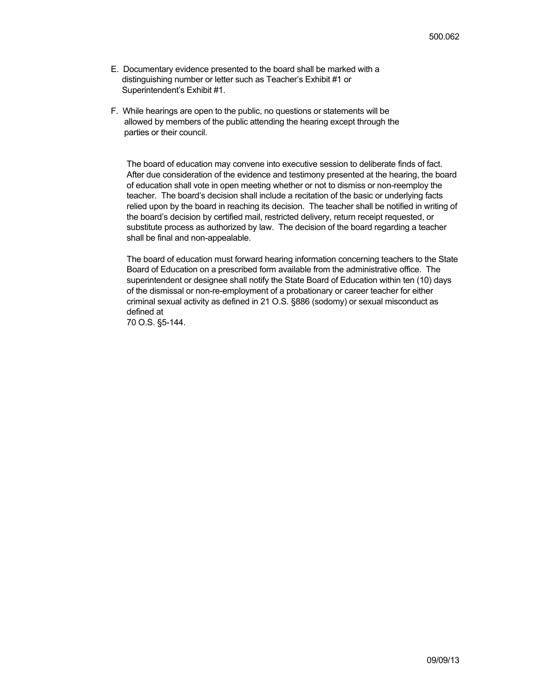- E. Documentary evidence presented to the board shall be marked with a distinguishing number or letter such as Teacher's Exhibit #1 or Superintendent's Exhibit #1.
- F. While hearings are open to the public, no questions or statements will be allowed by members of the public attending the hearing except through the parties or their council.

The board of education may convene into executive session to deliberate finds of fact. After due consideration of the evidence and testimony presented at the hearing, the board of education shall vote in open meeting whether or not to dismiss or non-reemploy the teacher. The board's decision shall include a recitation of the basic or underlying facts relied upon by the board in reaching its decision. The teacher shall be notified in writing of the board's decision by certified mail, restricted delivery, return receipt requested, or substitute process as authorized by law. The decision of the board regarding a teacher shall be final and non-appealable.

The board of education must forward hearing information concerning teachers to the State Board of Education on a prescribed form available from the administrative office. The superintendent or designee shall notify the State Board of Education within ten (10) days of the dismissal or non-re-employment of a probationary or career teacher for either criminal sexual activity as defined in 21 O.S. §886 (sodomy) or sexual misconduct as defined at

70 O.S. §5-144.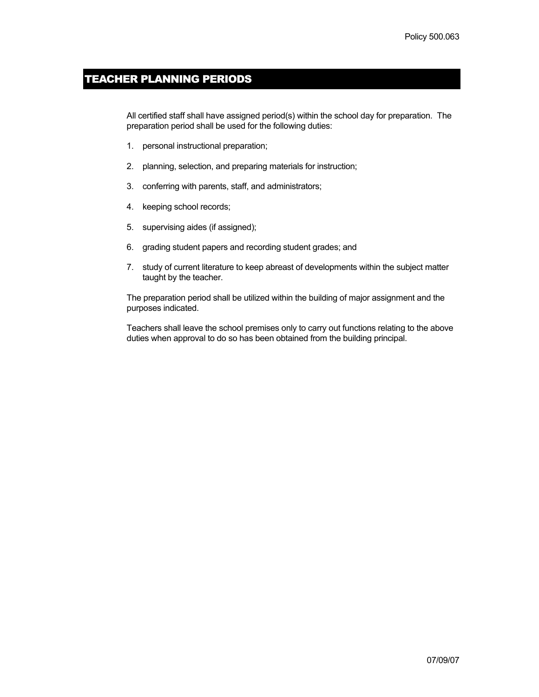### TEACHER PLANNING PERIODS

All certified staff shall have assigned period(s) within the school day for preparation.The preparation period shall be used for the following duties:

- 1. personal instructional preparation;
- 2. planning, selection, and preparing materials for instruction;
- 3. conferring with parents, staff, and administrators;
- 4. keeping school records;
- 5. supervising aides (if assigned);
- 6. grading student papers and recording student grades; and
- 7. study of current literature to keep abreast of developments within the subject matter taught by the teacher.

The preparation period shall be utilized within the building of major assignment and the purposes indicated.

Teachers shall leave the school premises only to carry out functions relating to the above duties when approval to do so has been obtained from the building principal.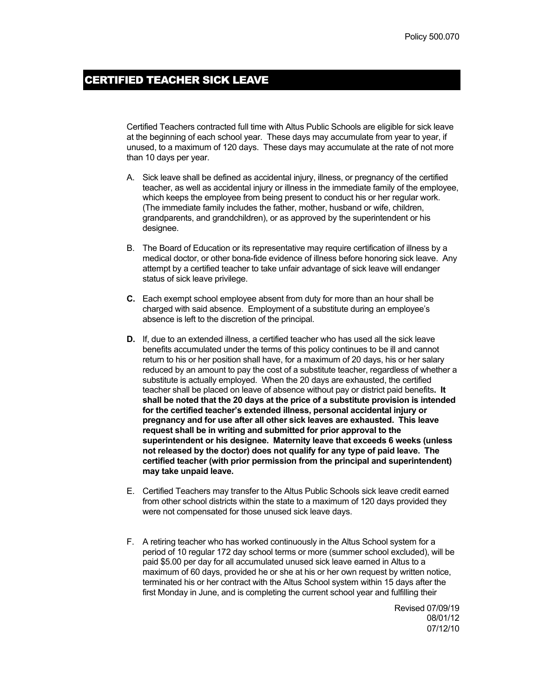## CERTIFIED TEACHER SICK LEAVE

Certified Teachers contracted full time with Altus Public Schools are eligible for sick leave at the beginning of each school year. These days may accumulate from year to year, if unused, to a maximum of 120 days. These days may accumulate at the rate of not more than 10 days per year.

- A. Sick leave shall be defined as accidental injury, illness, or pregnancy of the certified teacher, as well as accidental injury or illness in the immediate family of the employee, which keeps the employee from being present to conduct his or her regular work. (The immediate family includes the father, mother, husband or wife, children, grandparents, and grandchildren), or as approved by the superintendent or his designee.
- B. The Board of Education or its representative may require certification of illness by a medical doctor, or other bona-fide evidence of illness before honoring sick leave. Any attempt by a certified teacher to take unfair advantage of sick leave will endanger status of sick leave privilege.
- **C.** Each exempt school employee absent from duty for more than an hour shall be charged with said absence. Employment of a substitute during an employee's absence is left to the discretion of the principal.
- **D.** If, due to an extended illness, a certified teacher who has used all the sick leave benefits accumulated under the terms of this policy continues to be ill and cannot return to his or her position shall have, for a maximum of 20 days, his or her salary reduced by an amount to pay the cost of a substitute teacher, regardless of whether a substitute is actually employed. When the 20 days are exhausted, the certified teacher shall be placed on leave of absence without pay or district paid benefits**. It shall be noted that the 20 days at the price of a substitute provision is intended for the certified teacher's extended illness, personal accidental injury or pregnancy and for use after all other sick leaves are exhausted. This leave request shall be in writing and submitted for prior approval to the superintendent or his designee. Maternity leave that exceeds 6 weeks (unless not released by the doctor) does not qualify for any type of paid leave. The certified teacher (with prior permission from the principal and superintendent) may take unpaid leave.**
- E. Certified Teachers may transfer to the Altus Public Schools sick leave credit earned from other school districts within the state to a maximum of 120 days provided they were not compensated for those unused sick leave days.
- F. A retiring teacher who has worked continuously in the Altus School system for a period of 10 regular 172 day school terms or more (summer school excluded), will be paid \$5.00 per day for all accumulated unused sick leave earned in Altus to a maximum of 60 days, provided he or she at his or her own request by written notice, terminated his or her contract with the Altus School system within 15 days after the first Monday in June, and is completing the current school year and fulfilling their

Revised 07/09/19 08/01/12 07/12/10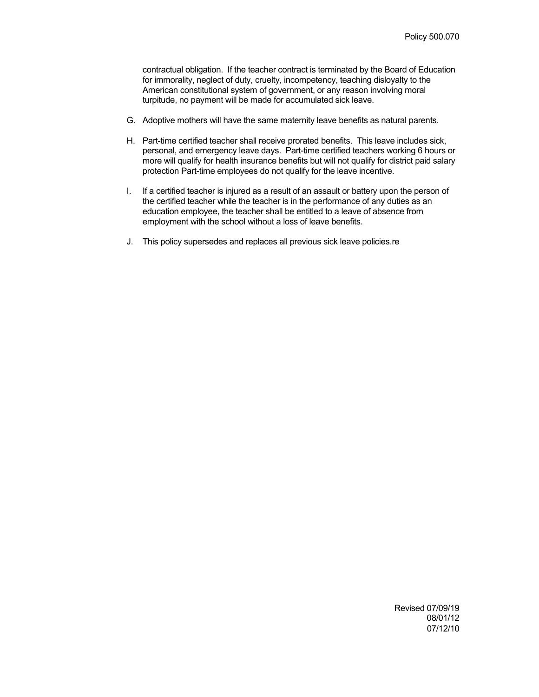contractual obligation. If the teacher contract is terminated by the Board of Education for immorality, neglect of duty, cruelty, incompetency, teaching disloyalty to the American constitutional system of government, or any reason involving moral turpitude, no payment will be made for accumulated sick leave.

- G. Adoptive mothers will have the same maternity leave benefits as natural parents.
- H. Part-time certified teacher shall receive prorated benefits. This leave includes sick, personal, and emergency leave days. Part-time certified teachers working 6 hours or more will qualify for health insurance benefits but will not qualify for district paid salary protection Part-time employees do not qualify for the leave incentive.
- I. If a certified teacher is injured as a result of an assault or battery upon the person of the certified teacher while the teacher is in the performance of any duties as an education employee, the teacher shall be entitled to a leave of absence from employment with the school without a loss of leave benefits.
- J. This policy supersedes and replaces all previous sick leave policies.re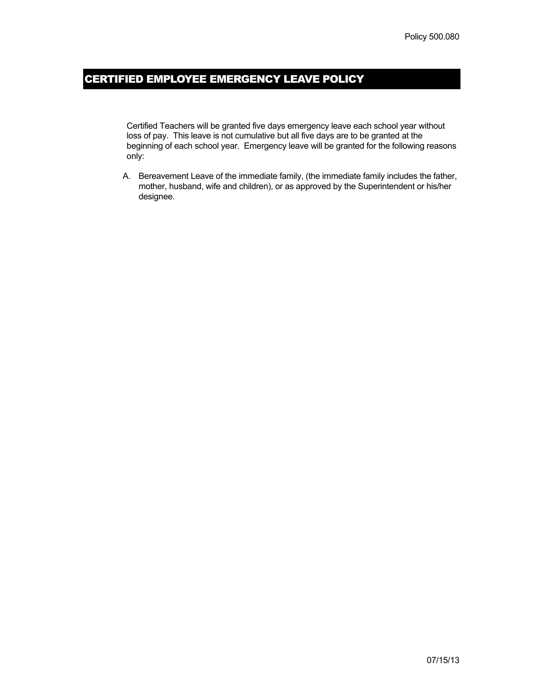# CERTIFIED EMPLOYEE EMERGENCY LEAVE POLICY

Certified Teachers will be granted five days emergency leave each school year without loss of pay. This leave is not cumulative but all five days are to be granted at the beginning of each school year. Emergency leave will be granted for the following reasons only:

A. Bereavement Leave of the immediate family, (the immediate family includes the father, mother, husband, wife and children), or as approved by the Superintendent or his/her designee.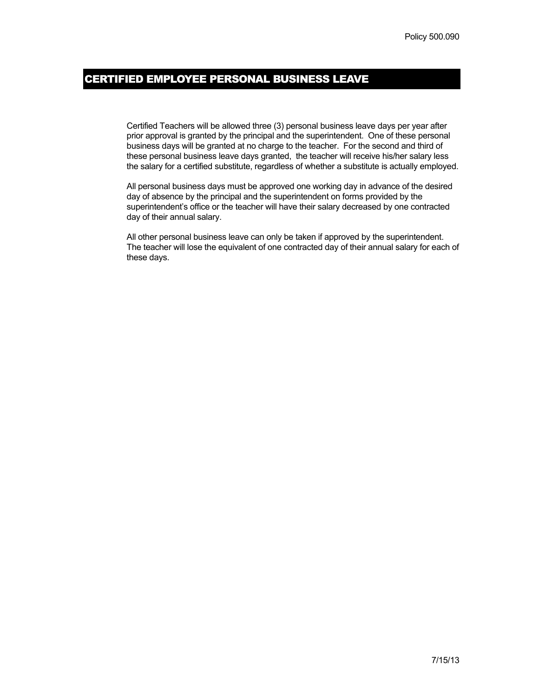### CERTIFIED EMPLOYEE PERSONAL BUSINESS LEAVE

Certified Teachers will be allowed three (3) personal business leave days per year after prior approval is granted by the principal and the superintendent. One of these personal business days will be granted at no charge to the teacher. For the second and third of these personal business leave days granted, the teacher will receive his/her salary less the salary for a certified substitute, regardless of whether a substitute is actually employed.

All personal business days must be approved one working day in advance of the desired day of absence by the principal and the superintendent on forms provided by the superintendent's office or the teacher will have their salary decreased by one contracted day of their annual salary.

All other personal business leave can only be taken if approved by the superintendent. The teacher will lose the equivalent of one contracted day of their annual salary for each of these days.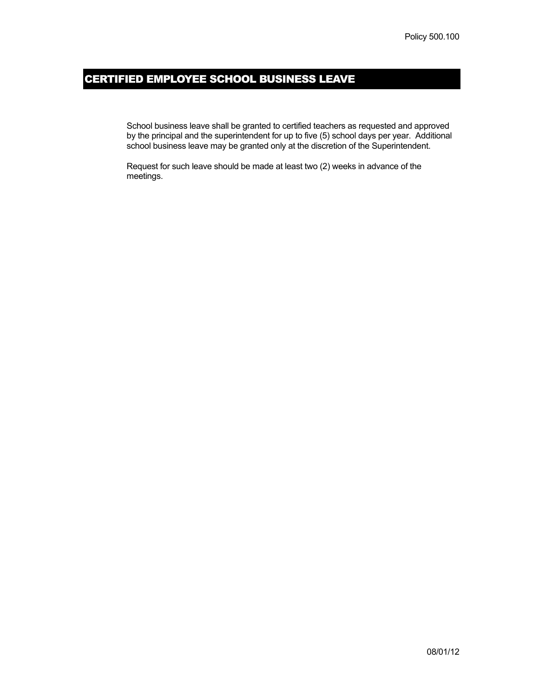# CERTIFIED EMPLOYEE SCHOOL BUSINESS LEAVE

School business leave shall be granted to certified teachers as requested and approved by the principal and the superintendent for up to five (5) school days per year. Additional school business leave may be granted only at the discretion of the Superintendent.

Request for such leave should be made at least two (2) weeks in advance of the meetings.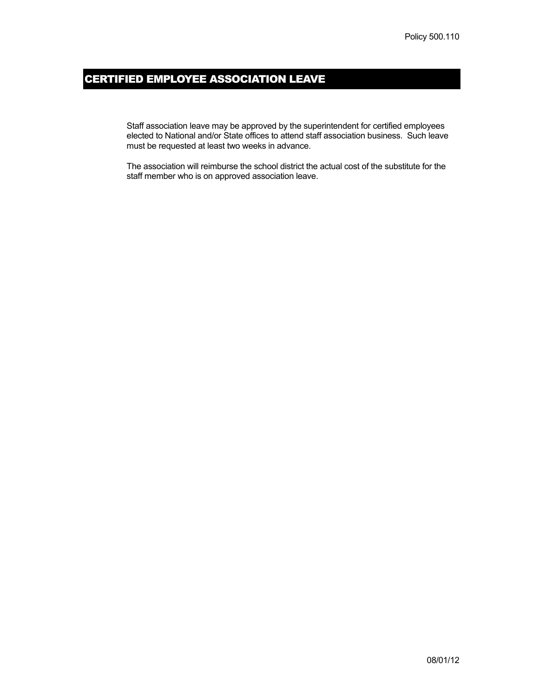# CERTIFIED EMPLOYEE ASSOCIATION LEAVE

Staff association leave may be approved by the superintendent for certified employees elected to National and/or State offices to attend staff association business. Such leave must be requested at least two weeks in advance.

The association will reimburse the school district the actual cost of the substitute for the staff member who is on approved association leave.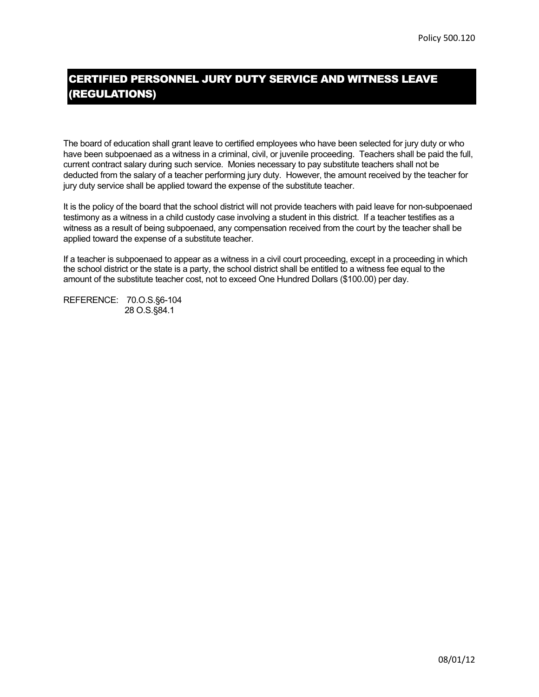## CERTIFIED PERSONNEL JURY DUTY SERVICE AND WITNESS LEAVE (REGULATIONS)

The board of education shall grant leave to certified employees who have been selected for jury duty or who have been subpoenaed as a witness in a criminal, civil, or juvenile proceeding. Teachers shall be paid the full, current contract salary during such service. Monies necessary to pay substitute teachers shall not be deducted from the salary of a teacher performing jury duty. However, the amount received by the teacher for jury duty service shall be applied toward the expense of the substitute teacher.

It is the policy of the board that the school district will not provide teachers with paid leave for non-subpoenaed testimony as a witness in a child custody case involving a student in this district. If a teacher testifies as a witness as a result of being subpoenaed, any compensation received from the court by the teacher shall be applied toward the expense of a substitute teacher.

If a teacher is subpoenaed to appear as a witness in a civil court proceeding, except in a proceeding in which the school district or the state is a party, the school district shall be entitled to a witness fee equal to the amount of the substitute teacher cost, not to exceed One Hundred Dollars (\$100.00) per day.

REFERENCE: 70.O.S.§6-104 28 O.S.§84.1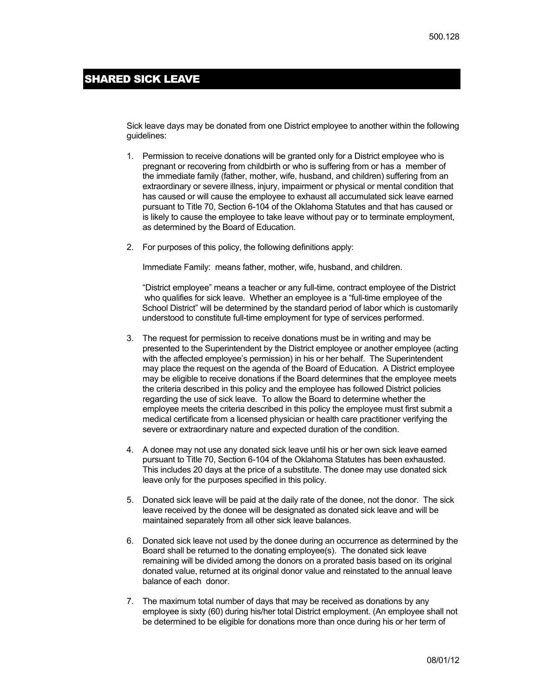### SHARED SICK LEAVE

Sick leave days may be donated from one District employee to another within the following guidelines:

- 1. Permission to receive donations will be granted only for a District employee who is pregnant or recovering from childbirth or who is suffering from or has a member of the immediate family (father, mother, wife, husband, and children) suffering from an extraordinary or severe illness, injury, impairment or physical or mental condition that has caused or will cause the employee to exhaust all accumulated sick leave earned pursuant to Title 70, Section 6-104 of the Oklahoma Statutes and that has caused or is likely to cause the employee to take leave without pay or to terminate employment, as determined by the Board of Education.
- 2. For purposes of this policy, the following definitions apply:

Immediate Family: means father, mother, wife, husband, and children.

"District employee" means a teacher or any full-time, contract employee of the District who qualifies for sick leave. Whether an employee is a "full-time employee of the School District" will be determined by the standard period of labor which is customarily understood to constitute full-time employment for type of services performed.

- 3. The request for permission to receive donations must be in writing and may be presented to the Superintendent by the District employee or another employee (acting with the affected employee's permission) in his or her behalf. The Superintendent may place the request on the agenda of the Board of Education. A District employee may be eligible to receive donations if the Board determines that the employee meets the criteria described in this policy and the employee has followed District policies regarding the use of sick leave. To allow the Board to determine whether the employee meets the criteria described in this policy the employee must first submit a medical certificate from a licensed physician or health care practitioner verifying the severe or extraordinary nature and expected duration of the condition.
- 4. A donee may not use any donated sick leave until his or her own sick leave earned pursuant to Title 70, Section 6-104 of the Oklahoma Statutes has been exhausted. This includes 20 days at the price of a substitute. The donee may use donated sick leave only for the purposes specified in this policy.
- 5. Donated sick leave will be paid at the daily rate of the donee, not the donor. The sick leave received by the donee will be designated as donated sick leave and will be maintained separately from all other sick leave balances.
- 6. Donated sick leave not used by the donee during an occurrence as determined by the Board shall be returned to the donating employee(s). The donated sick leave remaining will be divided among the donors on a prorated basis based on its original donated value, returned at its original donor value and reinstated to the annual leave balance of each donor.
- 7. The maximum total number of days that may be received as donations by any employee is sixty (60) during his/her total District employment. (An employee shall not be determined to be eligible for donations more than once during his or her term of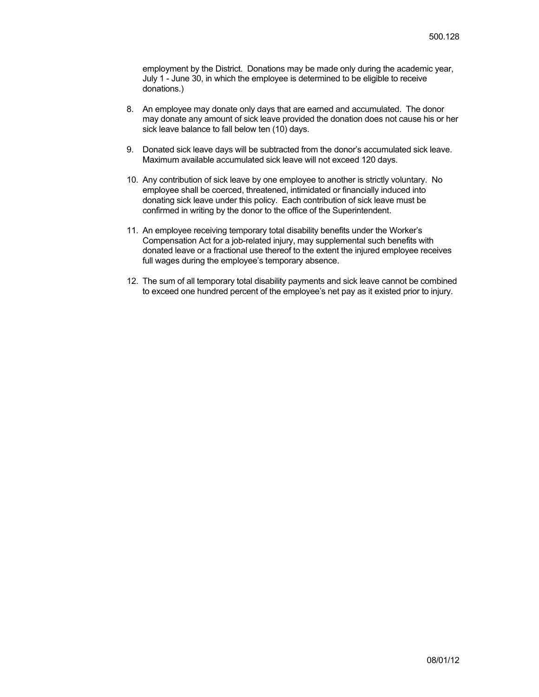employment by the District. Donations may be made only during the academic year, July 1 - June 30, in which the employee is determined to be eligible to receive donations.)

- 8. An employee may donate only days that are earned and accumulated. The donor may donate any amount of sick leave provided the donation does not cause his or her sick leave balance to fall below ten (10) days.
- 9. Donated sick leave days will be subtracted from the donor's accumulated sick leave. Maximum available accumulated sick leave will not exceed 120 days.
- 10. Any contribution of sick leave by one employee to another is strictly voluntary. No employee shall be coerced, threatened, intimidated or financially induced into donating sick leave under this policy. Each contribution of sick leave must be confirmed in writing by the donor to the office of the Superintendent.
- 11. An employee receiving temporary total disability benefits under the Worker's Compensation Act for a job-related injury, may supplemental such benefits with donated leave or a fractional use thereof to the extent the injured employee receives full wages during the employee's temporary absence.
- 12. The sum of all temporary total disability payments and sick leave cannot be combined to exceed one hundred percent of the employee's net pay as it existed prior to injury.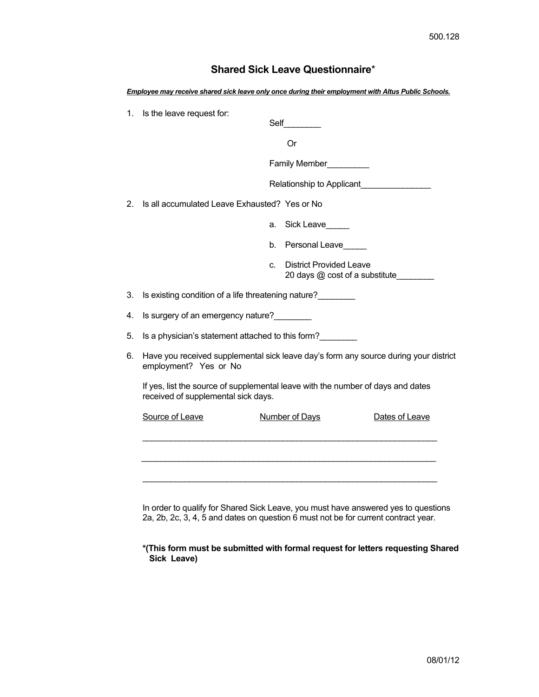#### **Shared Sick Leave Questionnaire**\*

*Employee may receive shared sick leave only once during their employment with Altus Public Schools.*

| 1. | Is the leave request for:                                                                                              |    | <b>Self Self</b>                                                                                                      |                |
|----|------------------------------------------------------------------------------------------------------------------------|----|-----------------------------------------------------------------------------------------------------------------------|----------------|
|    |                                                                                                                        |    | Or                                                                                                                    |                |
|    |                                                                                                                        |    | Family Member_________                                                                                                |                |
|    |                                                                                                                        |    | Relationship to Applicant                                                                                             |                |
| 2. | Is all accumulated Leave Exhausted? Yes or No                                                                          |    |                                                                                                                       |                |
|    |                                                                                                                        | a. | Sick Leave                                                                                                            |                |
|    |                                                                                                                        | b. | Personal Leave                                                                                                        |                |
|    |                                                                                                                        | C. | <b>District Provided Leave</b><br>20 days @ cost of a substitute                                                      |                |
| 3. | Is existing condition of a life threatening nature?                                                                    |    |                                                                                                                       |                |
| 4. | Is surgery of an emergency nature?                                                                                     |    |                                                                                                                       |                |
| 5. | Is a physician's statement attached to this form?                                                                      |    |                                                                                                                       |                |
| 6. | Have you received supplemental sick leave day's form any source during your district<br>employment? Yes or No          |    |                                                                                                                       |                |
|    | If yes, list the source of supplemental leave with the number of days and dates<br>received of supplemental sick days. |    |                                                                                                                       |                |
|    | Source of Leave                                                                                                        |    | Number of Days                                                                                                        | Dates of Leave |
|    |                                                                                                                        |    | <u> 1989 - Johann Stoff, deutscher Stoff, der Stoff, der Stoff, der Stoff, der Stoff, der Stoff, der Stoff, der S</u> |                |
|    |                                                                                                                        |    |                                                                                                                       |                |
|    |                                                                                                                        |    |                                                                                                                       |                |

In order to qualify for Shared Sick Leave, you must have answered yes to questions 2a, 2b, 2c, 3, 4, 5 and dates on question 6 must not be for current contract year.

**\*(This form must be submitted with formal request for letters requesting Shared Sick Leave)**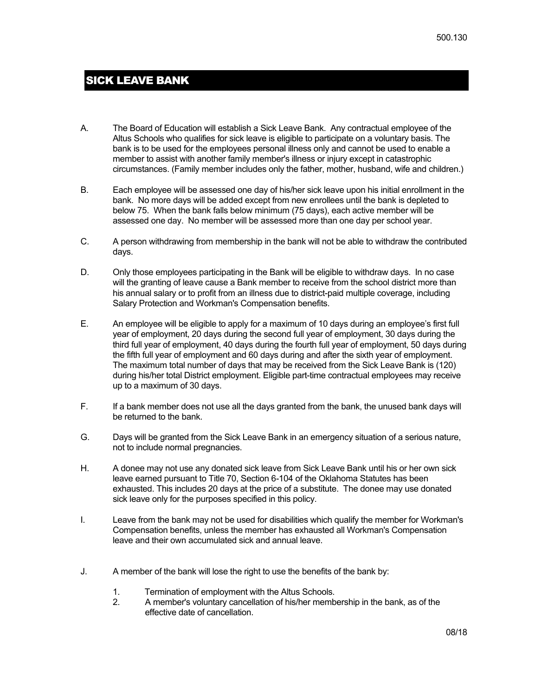#### SICK LEAVE BANK

- A. The Board of Education will establish a Sick Leave Bank. Any contractual employee of the Altus Schools who qualifies for sick leave is eligible to participate on a voluntary basis. The bank is to be used for the employees personal illness only and cannot be used to enable a member to assist with another family member's illness or injury except in catastrophic circumstances. (Family member includes only the father, mother, husband, wife and children.)
- B. Each employee will be assessed one day of his/her sick leave upon his initial enrollment in the bank. No more days will be added except from new enrollees until the bank is depleted to below 75. When the bank falls below minimum (75 days), each active member will be assessed one day. No member will be assessed more than one day per school year.
- C. A person withdrawing from membership in the bank will not be able to withdraw the contributed days.
- D. Only those employees participating in the Bank will be eligible to withdraw days. In no case will the granting of leave cause a Bank member to receive from the school district more than his annual salary or to profit from an illness due to district-paid multiple coverage, including Salary Protection and Workman's Compensation benefits.
- E. An employee will be eligible to apply for a maximum of 10 days during an employee's first full year of employment, 20 days during the second full year of employment, 30 days during the third full year of employment, 40 days during the fourth full year of employment, 50 days during the fifth full year of employment and 60 days during and after the sixth year of employment. The maximum total number of days that may be received from the Sick Leave Bank is (120) during his/her total District employment. Eligible part-time contractual employees may receive up to a maximum of 30 days.
- F. If a bank member does not use all the days granted from the bank, the unused bank days will be returned to the bank.
- G. Days will be granted from the Sick Leave Bank in an emergency situation of a serious nature, not to include normal pregnancies.
- H. A donee may not use any donated sick leave from Sick Leave Bank until his or her own sick leave earned pursuant to Title 70, Section 6-104 of the Oklahoma Statutes has been exhausted. This includes 20 days at the price of a substitute. The donee may use donated sick leave only for the purposes specified in this policy.
- I. Leave from the bank may not be used for disabilities which qualify the member for Workman's Compensation benefits, unless the member has exhausted all Workman's Compensation leave and their own accumulated sick and annual leave.
- J. A member of the bank will lose the right to use the benefits of the bank by:
	- 1. Termination of employment with the Altus Schools.
	- 2. A member's voluntary cancellation of his/her membership in the bank, as of the effective date of cancellation.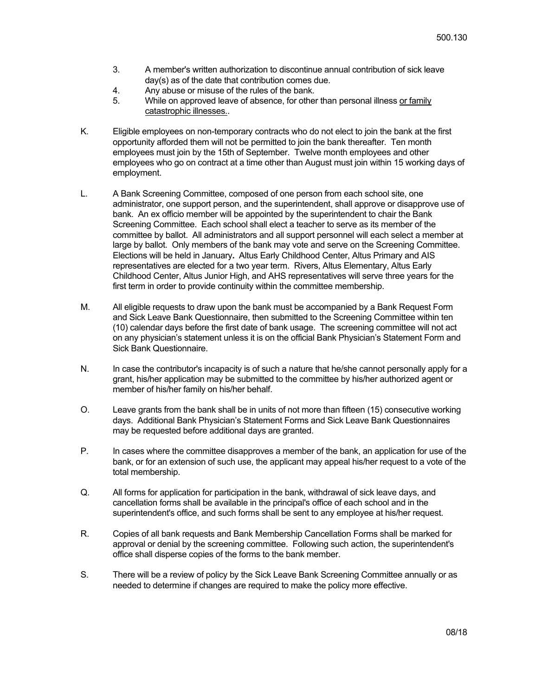- 3. A member's written authorization to discontinue annual contribution of sick leave day(s) as of the date that contribution comes due.
- 4. Any abuse or misuse of the rules of the bank.
- 5. While on approved leave of absence, for other than personal illness or family catastrophic illnesses..
- K. Eligible employees on non-temporary contracts who do not elect to join the bank at the first opportunity afforded them will not be permitted to join the bank thereafter. Ten month employees must join by the 15th of September. Twelve month employees and other employees who go on contract at a time other than August must join within 15 working days of employment.
- L. A Bank Screening Committee, composed of one person from each school site, one administrator, one support person, and the superintendent, shall approve or disapprove use of bank. An ex officio member will be appointed by the superintendent to chair the Bank Screening Committee. Each school shall elect a teacher to serve as its member of the committee by ballot. All administrators and all support personnel will each select a member at large by ballot. Only members of the bank may vote and serve on the Screening Committee. Elections will be held in January**.** Altus Early Childhood Center, Altus Primary and AIS representatives are elected for a two year term. Rivers, Altus Elementary, Altus Early Childhood Center, Altus Junior High, and AHS representatives will serve three years for the first term in order to provide continuity within the committee membership.
- M. All eligible requests to draw upon the bank must be accompanied by a Bank Request Form and Sick Leave Bank Questionnaire, then submitted to the Screening Committee within ten (10) calendar days before the first date of bank usage. The screening committee will not act on any physician's statement unless it is on the official Bank Physician's Statement Form and Sick Bank Questionnaire.
- N. In case the contributor's incapacity is of such a nature that he/she cannot personally apply for a grant, his/her application may be submitted to the committee by his/her authorized agent or member of his/her family on his/her behalf.
- O. Leave grants from the bank shall be in units of not more than fifteen (15) consecutive working days. Additional Bank Physician's Statement Forms and Sick Leave Bank Questionnaires may be requested before additional days are granted.
- P. In cases where the committee disapproves a member of the bank, an application for use of the bank, or for an extension of such use, the applicant may appeal his/her request to a vote of the total membership.
- Q. All forms for application for participation in the bank, withdrawal of sick leave days, and cancellation forms shall be available in the principal's office of each school and in the superintendent's office, and such forms shall be sent to any employee at his/her request.
- R. Copies of all bank requests and Bank Membership Cancellation Forms shall be marked for approval or denial by the screening committee. Following such action, the superintendent's office shall disperse copies of the forms to the bank member.
- S. There will be a review of policy by the Sick Leave Bank Screening Committee annually or as needed to determine if changes are required to make the policy more effective.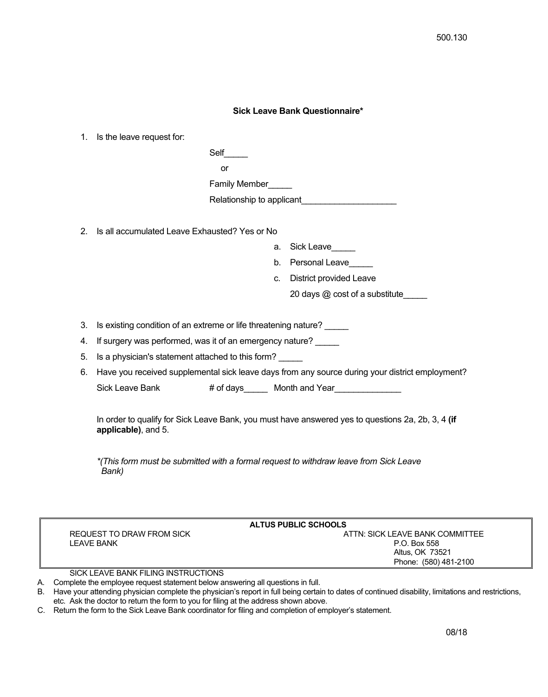#### **Sick Leave Bank Questionnaire\***

1. Is the leave request for:

Self\_\_\_\_\_ or

Family Member\_\_\_\_\_

Relationship to applicant\_\_\_\_\_\_\_\_\_\_\_\_\_\_\_\_\_\_\_\_

2. Is all accumulated Leave Exhausted? Yes or No

- a. Sick Leave
- b. Personal Leave
- c. District provided Leave

20 days @ cost of a substitute\_\_\_\_\_

3. Is existing condition of an extreme or life threatening nature? \_\_\_\_\_

4. If surgery was performed, was it of an emergency nature? \_\_\_\_\_

- 5. Is a physician's statement attached to this form? \_\_\_\_\_
- 6. Have you received supplemental sick leave days from any source during your district employment?

Sick Leave Bank # of days\_\_\_\_\_\_ Month and Year\_\_\_\_\_\_\_\_\_\_\_\_\_\_\_\_\_\_\_\_\_\_\_\_\_\_\_\_\_\_\_\_\_\_\_

In order to qualify for Sick Leave Bank, you must have answered yes to questions 2a, 2b, 3, 4 **(if applicable)**, and 5.

*\*(This form must be submitted with a formal request to withdraw leave from Sick Leave Bank)*

| ALTUS PUBLIC SCHOOLS      |                                 |  |  |
|---------------------------|---------------------------------|--|--|
| REQUEST TO DRAW FROM SICK | ATTN: SICK LEAVE BANK COMMITTEE |  |  |
| LEAVE BANK                | P.O. Box 558                    |  |  |
|                           | Altus, OK 73521                 |  |  |
|                           | Phone: (580) 481-2100           |  |  |

#### SICK LEAVE BANK FILING INSTRUCTIONS

A. Complete the employee request statement below answering all questions in full.

B. Have your attending physician complete the physician's report in full being certain to dates of continued disability, limitations and restrictions, etc. Ask the doctor to return the form to you for filing at the address shown above.

C. Return the form to the Sick Leave Bank coordinator for filing and completion of employer's statement.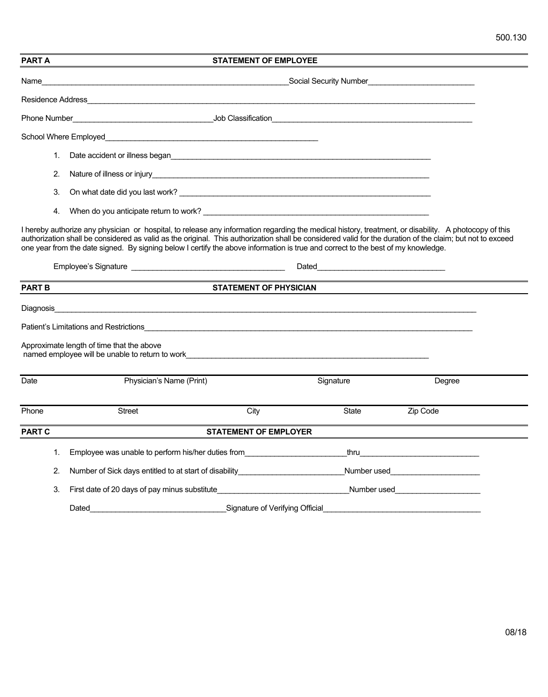| <b>PART A</b> |    |                                                                                                                                                                                                                                                                                                                                                                                                                                                        | <b>STATEMENT OF EMPLOYEE</b>    |                                                                                                                                                                                                                               |                                 |
|---------------|----|--------------------------------------------------------------------------------------------------------------------------------------------------------------------------------------------------------------------------------------------------------------------------------------------------------------------------------------------------------------------------------------------------------------------------------------------------------|---------------------------------|-------------------------------------------------------------------------------------------------------------------------------------------------------------------------------------------------------------------------------|---------------------------------|
| Name          |    |                                                                                                                                                                                                                                                                                                                                                                                                                                                        |                                 | Social Security Number<br>Social Security Number                                                                                                                                                                              |                                 |
|               |    |                                                                                                                                                                                                                                                                                                                                                                                                                                                        |                                 |                                                                                                                                                                                                                               |                                 |
|               |    |                                                                                                                                                                                                                                                                                                                                                                                                                                                        |                                 |                                                                                                                                                                                                                               |                                 |
|               |    | School Where Employed                                                                                                                                                                                                                                                                                                                                                                                                                                  |                                 |                                                                                                                                                                                                                               |                                 |
|               | 1. | Date accident or illness began and the state of the state of the state of the state of the state of the state of the state of the state of the state of the state of the state of the state of the state of the state of the s                                                                                                                                                                                                                         |                                 |                                                                                                                                                                                                                               |                                 |
|               | 2. | Nature of illness or injury and the control of the control of the control of the control of the control of the control of the control of the control of the control of the control of the control of the control of the contro                                                                                                                                                                                                                         |                                 |                                                                                                                                                                                                                               |                                 |
|               | 3. | On what date did you last work?                                                                                                                                                                                                                                                                                                                                                                                                                        |                                 |                                                                                                                                                                                                                               |                                 |
|               | 4. |                                                                                                                                                                                                                                                                                                                                                                                                                                                        |                                 |                                                                                                                                                                                                                               |                                 |
|               |    | I hereby authorize any physician or hospital, to release any information regarding the medical history, treatment, or disability. A photocopy of this<br>authorization shall be considered as valid as the original. This authorization shall be considered valid for the duration of the claim; but not to exceed<br>one year from the date signed. By signing below I certify the above information is true and correct to the best of my knowledge. |                                 |                                                                                                                                                                                                                               |                                 |
|               |    | Employee's Signature <b>contained a manufacture of the state of the state of the state of the state of the state of the state of the state of the state of the state of the state of the state of the state of the state of the </b>                                                                                                                                                                                                                   |                                 | Dated and the contract of the contract of the contract of the contract of the contract of the contract of the contract of the contract of the contract of the contract of the contract of the contract of the contract of the |                                 |
| <b>PART B</b> |    |                                                                                                                                                                                                                                                                                                                                                                                                                                                        | <b>STATEMENT OF PHYSICIAN</b>   |                                                                                                                                                                                                                               |                                 |
| Diagnosis     |    |                                                                                                                                                                                                                                                                                                                                                                                                                                                        |                                 |                                                                                                                                                                                                                               |                                 |
|               |    | Patient's Limitations and Restrictions <b>Constitution</b> and Constitution of the Constitution of the Constitution of the Constitution of the Constitution of the Constitution of the Constitution of the Constitution of the Cons                                                                                                                                                                                                                    |                                 |                                                                                                                                                                                                                               |                                 |
|               |    | Approximate length of time that the above<br>named employee will be unable to return to work entries and the state of the state of the state of the state of the state of the state of the state of the state of the state of the state of the state of the state of the st                                                                                                                                                                            |                                 |                                                                                                                                                                                                                               |                                 |
| Date          |    | Physician's Name (Print)                                                                                                                                                                                                                                                                                                                                                                                                                               |                                 | Signature                                                                                                                                                                                                                     | Degree                          |
| Phone         |    | <b>Street</b>                                                                                                                                                                                                                                                                                                                                                                                                                                          | City                            | <b>State</b>                                                                                                                                                                                                                  | Zip Code                        |
| <b>PART C</b> |    |                                                                                                                                                                                                                                                                                                                                                                                                                                                        | <b>STATEMENT OF EMPLOYER</b>    |                                                                                                                                                                                                                               |                                 |
|               | 1. | Employee was unable to perform his/her duties from                                                                                                                                                                                                                                                                                                                                                                                                     |                                 |                                                                                                                                                                                                                               |                                 |
|               | 2. | Number of Sick days entitled to at start of disability__________________________                                                                                                                                                                                                                                                                                                                                                                       |                                 |                                                                                                                                                                                                                               | Number used <b>Example 2018</b> |
|               | 3. | First date of 20 days of pay minus substitute                                                                                                                                                                                                                                                                                                                                                                                                          |                                 |                                                                                                                                                                                                                               | Number used <b>Example 2018</b> |
|               |    | Dated                                                                                                                                                                                                                                                                                                                                                                                                                                                  | Signature of Verifying Official |                                                                                                                                                                                                                               |                                 |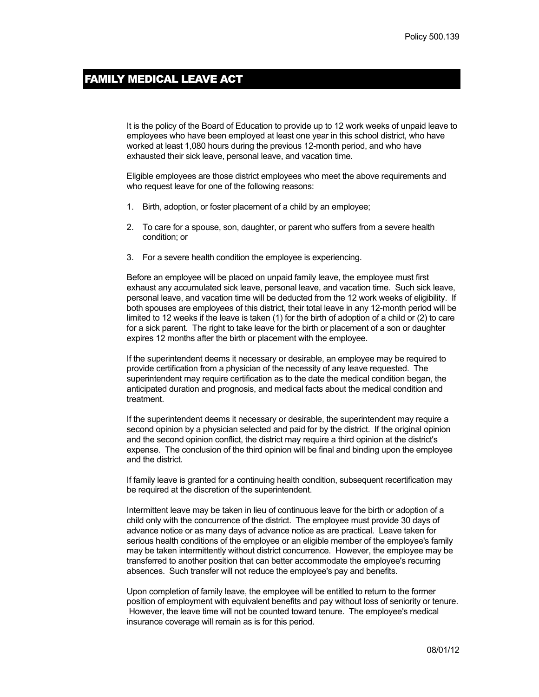### FAMILY MEDICAL LEAVE ACT

It is the policy of the Board of Education to provide up to 12 work weeks of unpaid leave to employees who have been employed at least one year in this school district, who have worked at least 1,080 hours during the previous 12-month period, and who have exhausted their sick leave, personal leave, and vacation time.

Eligible employees are those district employees who meet the above requirements and who request leave for one of the following reasons:

- 1. Birth, adoption, or foster placement of a child by an employee;
- 2. To care for a spouse, son, daughter, or parent who suffers from a severe health condition; or
- 3. For a severe health condition the employee is experiencing.

Before an employee will be placed on unpaid family leave, the employee must first exhaust any accumulated sick leave, personal leave, and vacation time. Such sick leave, personal leave, and vacation time will be deducted from the 12 work weeks of eligibility. If both spouses are employees of this district, their total leave in any 12-month period will be limited to 12 weeks if the leave is taken (1) for the birth of adoption of a child or (2) to care for a sick parent. The right to take leave for the birth or placement of a son or daughter expires 12 months after the birth or placement with the employee.

If the superintendent deems it necessary or desirable, an employee may be required to provide certification from a physician of the necessity of any leave requested. The superintendent may require certification as to the date the medical condition began, the anticipated duration and prognosis, and medical facts about the medical condition and treatment.

If the superintendent deems it necessary or desirable, the superintendent may require a second opinion by a physician selected and paid for by the district. If the original opinion and the second opinion conflict, the district may require a third opinion at the district's expense. The conclusion of the third opinion will be final and binding upon the employee and the district.

If family leave is granted for a continuing health condition, subsequent recertification may be required at the discretion of the superintendent.

Intermittent leave may be taken in lieu of continuous leave for the birth or adoption of a child only with the concurrence of the district. The employee must provide 30 days of advance notice or as many days of advance notice as are practical. Leave taken for serious health conditions of the employee or an eligible member of the employee's family may be taken intermittently without district concurrence. However, the employee may be transferred to another position that can better accommodate the employee's recurring absences. Such transfer will not reduce the employee's pay and benefits.

Upon completion of family leave, the employee will be entitled to return to the former position of employment with equivalent benefits and pay without loss of seniority or tenure. However, the leave time will not be counted toward tenure. The employee's medical insurance coverage will remain as is for this period.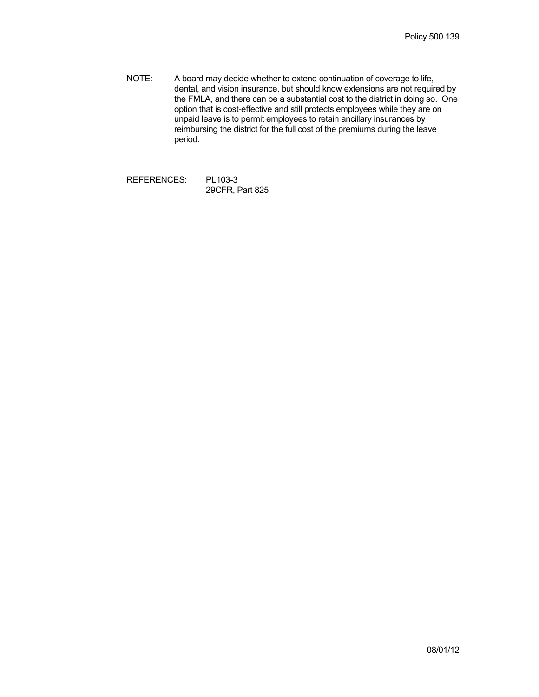NOTE: A board may decide whether to extend continuation of coverage to life, dental, and vision insurance, but should know extensions are not required by the FMLA, and there can be a substantial cost to the district in doing so. One option that is cost-effective and still protects employees while they are on unpaid leave is to permit employees to retain ancillary insurances by reimbursing the district for the full cost of the premiums during the leave period.

REFERENCES: PL103-3 29CFR, Part 825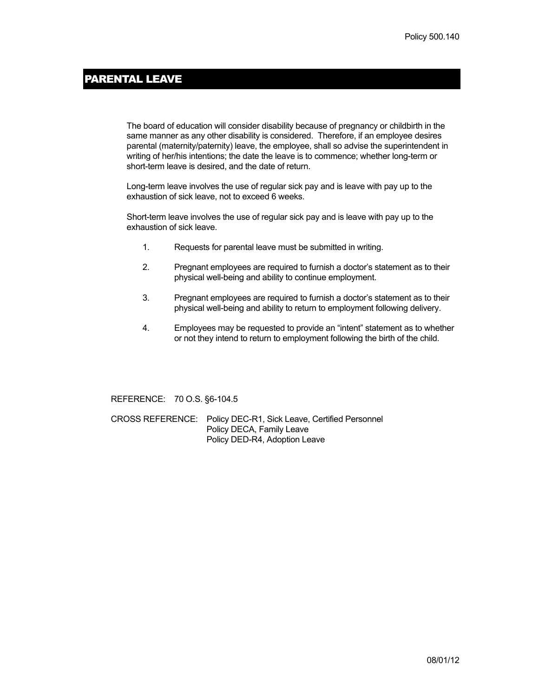### PARENTAL LEAVE

The board of education will consider disability because of pregnancy or childbirth in the same manner as any other disability is considered. Therefore, if an employee desires parental (maternity/paternity) leave, the employee, shall so advise the superintendent in writing of her/his intentions; the date the leave is to commence; whether long-term or short-term leave is desired, and the date of return.

Long-term leave involves the use of regular sick pay and is leave with pay up to the exhaustion of sick leave, not to exceed 6 weeks.

Short-term leave involves the use of regular sick pay and is leave with pay up to the exhaustion of sick leave.

- 1. Requests for parental leave must be submitted in writing.
- 2. Pregnant employees are required to furnish a doctor's statement as to their physical well-being and ability to continue employment.
- 3. Pregnant employees are required to furnish a doctor's statement as to their physical well-being and ability to return to employment following delivery.
- 4. Employees may be requested to provide an "intent" statement as to whether or not they intend to return to employment following the birth of the child.

#### REFERENCE: 70 O.S. §6-104.5

CROSS REFERENCE: Policy DEC-R1, Sick Leave, Certified Personnel Policy DECA, Family Leave Policy DED-R4, Adoption Leave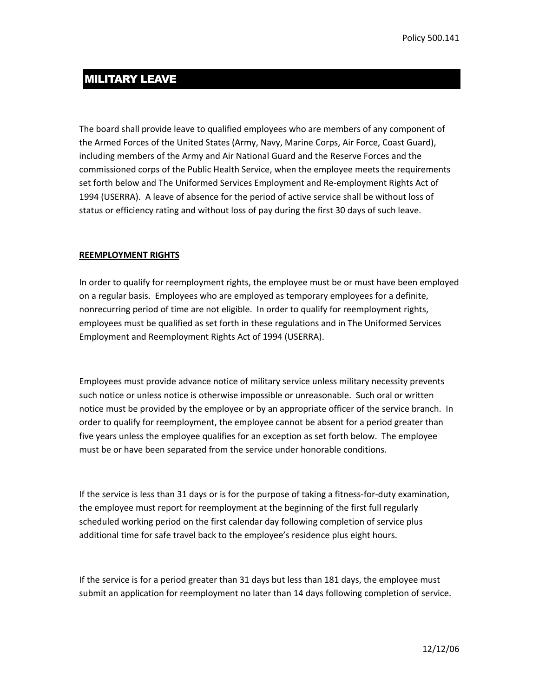### MILITARY LEAVE

The board shall provide leave to qualified employees who are members of any component of the Armed Forces of the United States (Army, Navy, Marine Corps, Air Force, Coast Guard), including members of the Army and Air National Guard and the Reserve Forces and the commissioned corps of the Public Health Service, when the employee meets the requirements set forth below and The Uniformed Services Employment and Re-employment Rights Act of 1994 (USERRA). A leave of absence for the period of active service shall be without loss of status or efficiency rating and without loss of pay during the first 30 days of such leave.

#### **REEMPLOYMENT RIGHTS**

In order to qualify for reemployment rights, the employee must be or must have been employed on a regular basis. Employees who are employed as temporary employees for a definite, nonrecurring period of time are not eligible. In order to qualify for reemployment rights, employees must be qualified as set forth in these regulations and in The Uniformed Services Employment and Reemployment Rights Act of 1994 (USERRA).

Employees must provide advance notice of military service unless military necessity prevents such notice or unless notice is otherwise impossible or unreasonable. Such oral or written notice must be provided by the employee or by an appropriate officer of the service branch. In order to qualify for reemployment, the employee cannot be absent for a period greater than five years unless the employee qualifies for an exception as set forth below. The employee must be or have been separated from the service under honorable conditions.

If the service is less than 31 days or is for the purpose of taking a fitness-for-duty examination, the employee must report for reemployment at the beginning of the first full regularly scheduled working period on the first calendar day following completion of service plus additional time for safe travel back to the employee's residence plus eight hours.

If the service is for a period greater than 31 days but less than 181 days, the employee must submit an application for reemployment no later than 14 days following completion of service.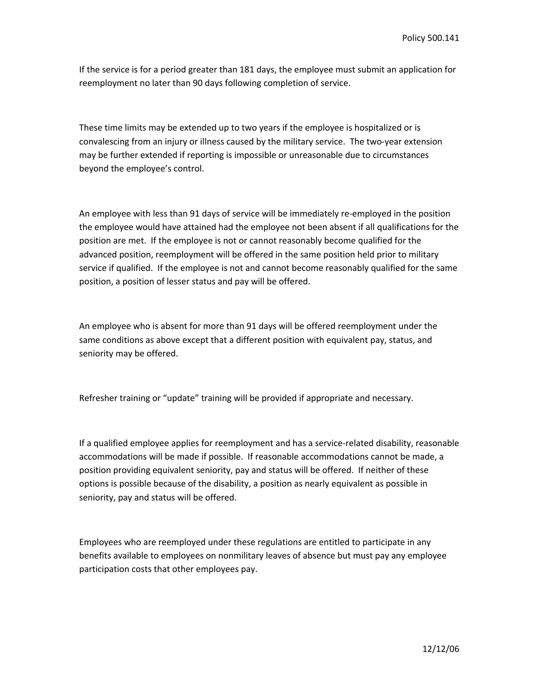If the service is for a period greater than 181 days, the employee must submit an application for reemployment no later than 90 days following completion of service.

These time limits may be extended up to two years if the employee is hospitalized or is convalescing from an injury or illness caused by the military service. The two-year extension may be further extended if reporting is impossible or unreasonable due to circumstances beyond the employee's control.

An employee with less than 91 days of service will be immediately re-employed in the position the employee would have attained had the employee not been absent if all qualifications for the position are met. If the employee is not or cannot reasonably become qualified for the advanced position, reemployment will be offered in the same position held prior to military service if qualified. If the employee is not and cannot become reasonably qualified for the same position, a position of lesser status and pay will be offered.

An employee who is absent for more than 91 days will be offered reemployment under the same conditions as above except that a different position with equivalent pay, status, and seniority may be offered.

Refresher training or "update" training will be provided if appropriate and necessary.

If a qualified employee applies for reemployment and has a service-related disability, reasonable accommodations will be made if possible. If reasonable accommodations cannot be made, a position providing equivalent seniority, pay and status will be offered. If neither of these options is possible because of the disability, a position as nearly equivalent as possible in seniority, pay and status will be offered.

Employees who are reemployed under these regulations are entitled to participate in any benefits available to employees on nonmilitary leaves of absence but must pay any employee participation costs that other employees pay.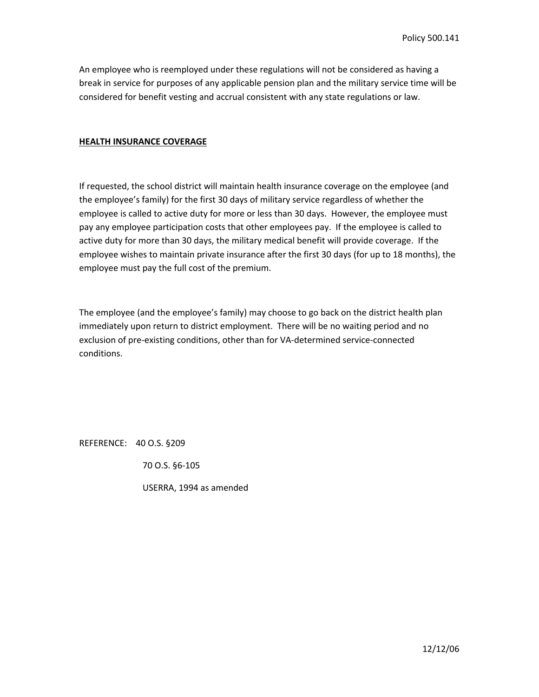An employee who is reemployed under these regulations will not be considered as having a break in service for purposes of any applicable pension plan and the military service time will be considered for benefit vesting and accrual consistent with any state regulations or law.

#### **HEALTH INSURANCE COVERAGE**

If requested, the school district will maintain health insurance coverage on the employee (and the employee's family) for the first 30 days of military service regardless of whether the employee is called to active duty for more or less than 30 days. However, the employee must pay any employee participation costs that other employees pay. If the employee is called to active duty for more than 30 days, the military medical benefit will provide coverage. If the employee wishes to maintain private insurance after the first 30 days (for up to 18 months), the employee must pay the full cost of the premium.

The employee (and the employee's family) may choose to go back on the district health plan immediately upon return to district employment. There will be no waiting period and no exclusion of pre-existing conditions, other than for VA-determined service-connected conditions.

REFERENCE: 40 O.S. §209

70 O.S. §6-105

USERRA, 1994 as amended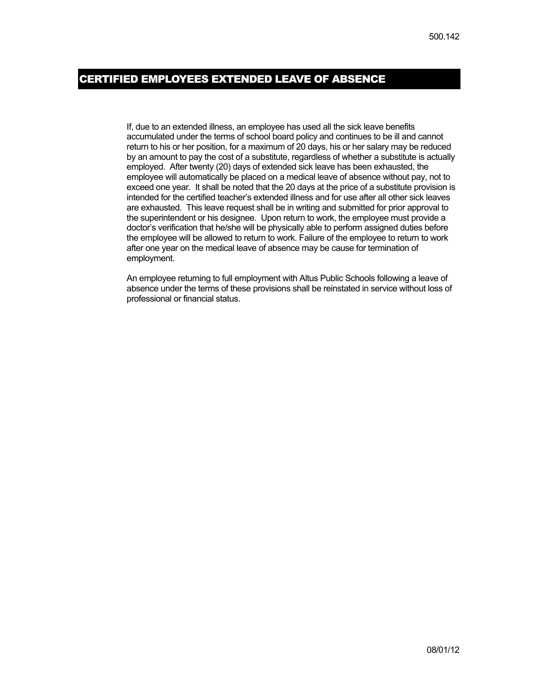## CERTIFIED EMPLOYEES EXTENDED LEAVE OF ABSENCE

If, due to an extended illness, an employee has used all the sick leave benefits accumulated under the terms of school board policy and continues to be ill and cannot return to his or her position, for a maximum of 20 days, his or her salary may be reduced by an amount to pay the cost of a substitute, regardless of whether a substitute is actually employed. After twenty (20) days of extended sick leave has been exhausted, the employee will automatically be placed on a medical leave of absence without pay, not to exceed one year. It shall be noted that the 20 days at the price of a substitute provision is intended for the certified teacher's extended illness and for use after all other sick leaves are exhausted. This leave request shall be in writing and submitted for prior approval to the superintendent or his designee. Upon return to work, the employee must provide a doctor's verification that he/she will be physically able to perform assigned duties before the employee will be allowed to return to work. Failure of the employee to return to work after one year on the medical leave of absence may be cause for termination of employment.

An employee returning to full employment with Altus Public Schools following a leave of absence under the terms of these provisions shall be reinstated in service without loss of professional or financial status.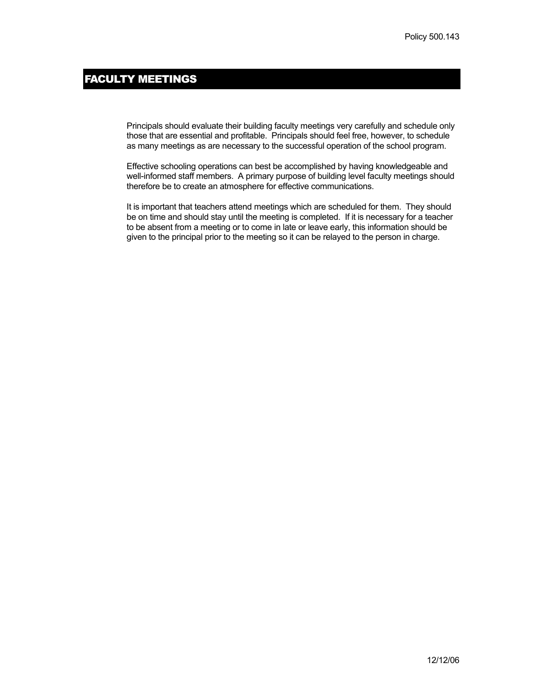### FACULTY MEETINGS

Principals should evaluate their building faculty meetings very carefully and schedule only those that are essential and profitable. Principals should feel free, however, to schedule as many meetings as are necessary to the successful operation of the school program.

Effective schooling operations can best be accomplished by having knowledgeable and well-informed staff members. A primary purpose of building level faculty meetings should therefore be to create an atmosphere for effective communications.

It is important that teachers attend meetings which are scheduled for them. They should be on time and should stay until the meeting is completed. If it is necessary for a teacher to be absent from a meeting or to come in late or leave early, this information should be given to the principal prior to the meeting so it can be relayed to the person in charge.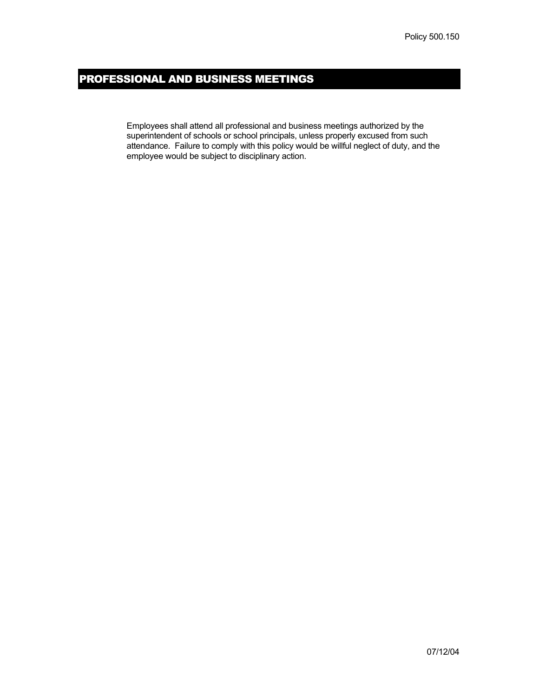# PROFESSIONAL AND BUSINESS MEETINGS

Employees shall attend all professional and business meetings authorized by the superintendent of schools or school principals, unless properly excused from such attendance. Failure to comply with this policy would be willful neglect of duty, and the employee would be subject to disciplinary action.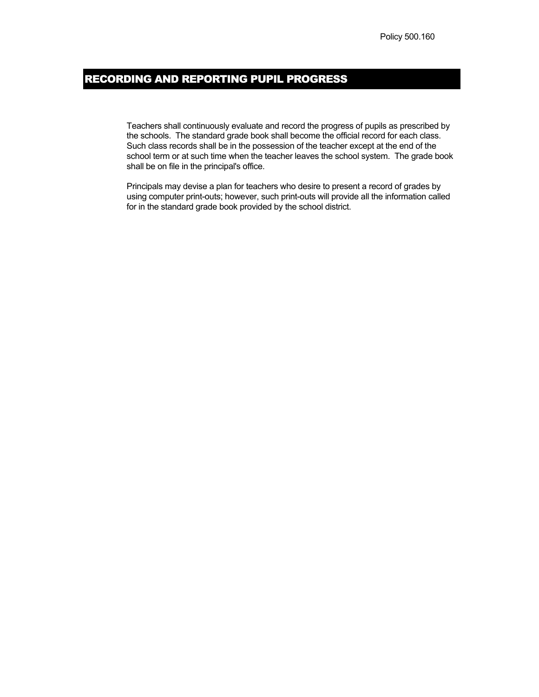### RECORDING AND REPORTING PUPIL PROGRESS

Teachers shall continuously evaluate and record the progress of pupils as prescribed by the schools. The standard grade book shall become the official record for each class. Such class records shall be in the possession of the teacher except at the end of the school term or at such time when the teacher leaves the school system. The grade book shall be on file in the principal's office.

Principals may devise a plan for teachers who desire to present a record of grades by using computer print-outs; however, such print-outs will provide all the information called for in the standard grade book provided by the school district.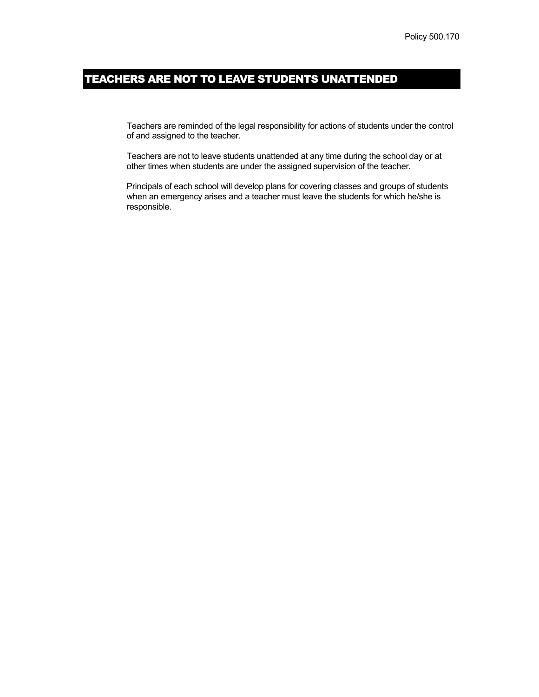# TEACHERS ARE NOT TO LEAVE STUDENTS UNATTENDED

Teachers are reminded of the legal responsibility for actions of students under the control of and assigned to the teacher.

Teachers are not to leave students unattended at any time during the school day or at other times when students are under the assigned supervision of the teacher.

Principals of each school will develop plans for covering classes and groups of students when an emergency arises and a teacher must leave the students for which he/she is responsible.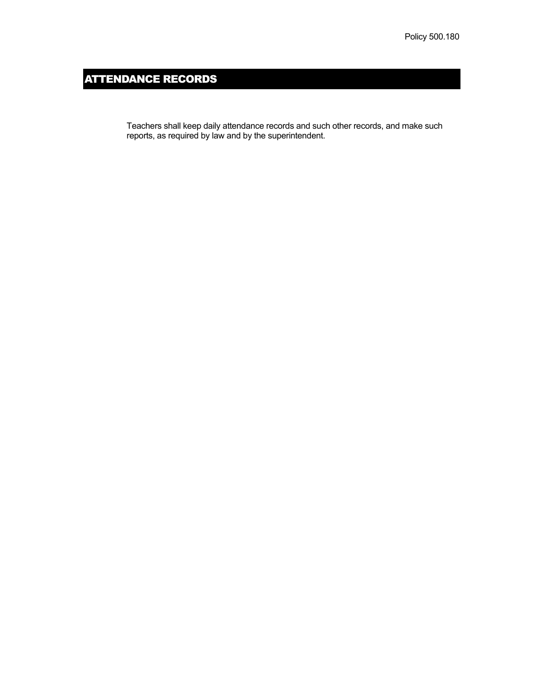# ATTENDANCE RECORDS

Teachers shall keep daily attendance records and such other records, and make such reports, as required by law and by the superintendent.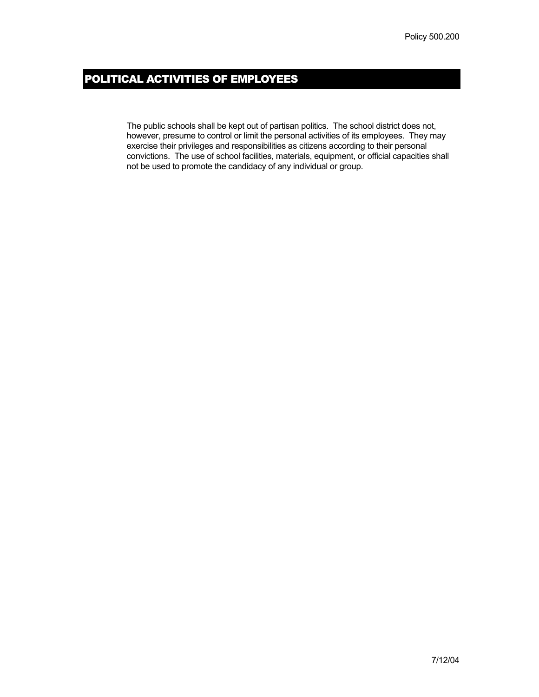# POLITICAL ACTIVITIES OF EMPLOYEES

The public schools shall be kept out of partisan politics. The school district does not, however, presume to control or limit the personal activities of its employees. They may exercise their privileges and responsibilities as citizens according to their personal convictions. The use of school facilities, materials, equipment, or official capacities shall not be used to promote the candidacy of any individual or group.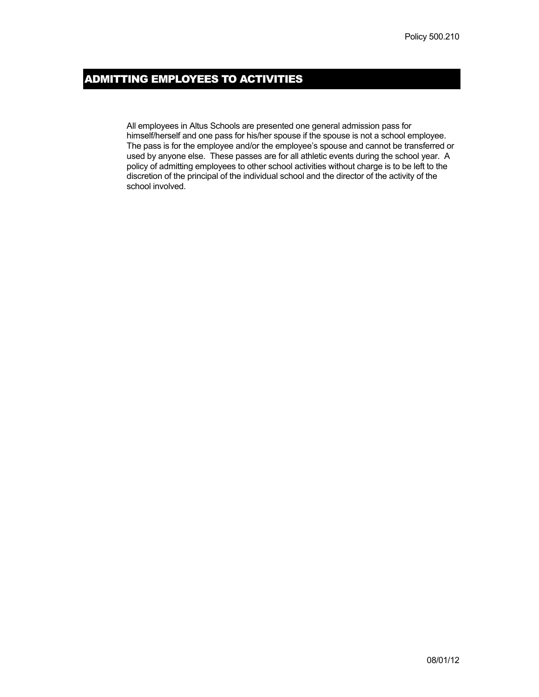# ADMITTING EMPLOYEES TO ACTIVITIES

All employees in Altus Schools are presented one general admission pass for himself/herself and one pass for his/her spouse if the spouse is not a school employee. The pass is for the employee and/or the employee's spouse and cannot be transferred or used by anyone else. These passes are for all athletic events during the school year. A policy of admitting employees to other school activities without charge is to be left to the discretion of the principal of the individual school and the director of the activity of the school involved.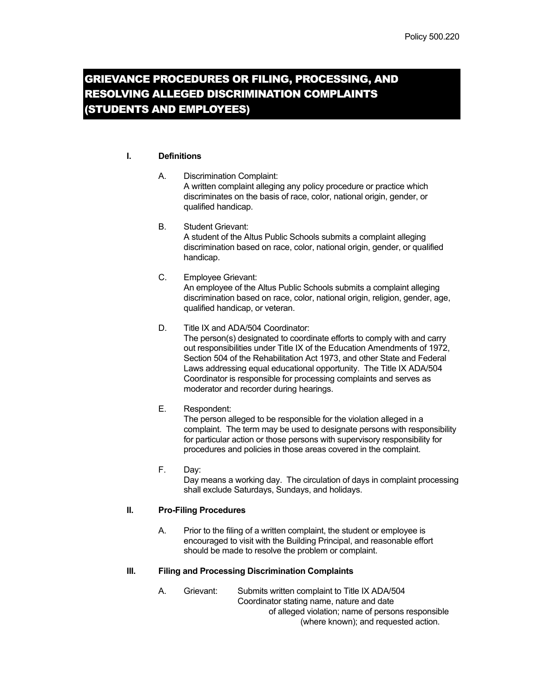## GRIEVANCE PROCEDURES OR FILING, PROCESSING, AND RESOLVING ALLEGED DISCRIMINATION COMPLAINTS (STUDENTS AND EMPLOYEES)

#### **I. Definitions**

- A. Discrimination Complaint: A written complaint alleging any policy procedure or practice which discriminates on the basis of race, color, national origin, gender, or qualified handicap.
- B. Student Grievant: A student of the Altus Public Schools submits a complaint alleging discrimination based on race, color, national origin, gender, or qualified handicap.
- C. Employee Grievant: An employee of the Altus Public Schools submits a complaint alleging discrimination based on race, color, national origin, religion, gender, age, qualified handicap, or veteran.
- D. Title IX and ADA/504 Coordinator: The person(s) designated to coordinate efforts to comply with and carry out responsibilities under Title IX of the Education Amendments of 1972, Section 504 of the Rehabilitation Act 1973, and other State and Federal Laws addressing equal educational opportunity. The Title IX ADA/504 Coordinator is responsible for processing complaints and serves as moderator and recorder during hearings.
- E. Respondent:

The person alleged to be responsible for the violation alleged in a complaint. The term may be used to designate persons with responsibility for particular action or those persons with supervisory responsibility for procedures and policies in those areas covered in the complaint.

F. Day:

Day means a working day. The circulation of days in complaint processing shall exclude Saturdays, Sundays, and holidays.

#### **II. Pro-Filing Procedures**

A. Prior to the filing of a written complaint, the student or employee is encouraged to visit with the Building Principal, and reasonable effort should be made to resolve the problem or complaint.

#### **III. Filing and Processing Discrimination Complaints**

A. Grievant: Submits written complaint to Title IX ADA/504 Coordinator stating name, nature and date of alleged violation; name of persons responsible (where known); and requested action.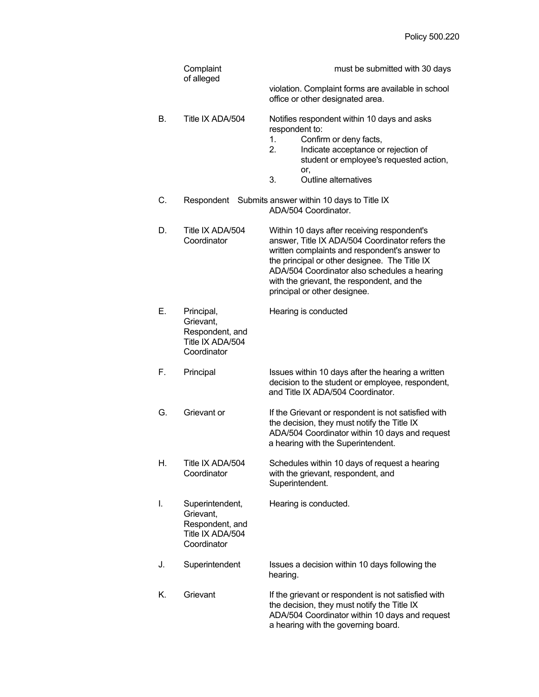|    | Complaint<br>of alleged                                                            | must be submitted with 30 days                                                                                                                                                                                                                                                                                                 |
|----|------------------------------------------------------------------------------------|--------------------------------------------------------------------------------------------------------------------------------------------------------------------------------------------------------------------------------------------------------------------------------------------------------------------------------|
|    |                                                                                    | violation. Complaint forms are available in school<br>office or other designated area.                                                                                                                                                                                                                                         |
| В. | Title IX ADA/504                                                                   | Notifies respondent within 10 days and asks<br>respondent to:<br>1.<br>Confirm or deny facts,<br>2.<br>Indicate acceptance or rejection of<br>student or employee's requested action,<br>or,<br>3.<br>Outline alternatives                                                                                                     |
| C. | Respondent                                                                         | Submits answer within 10 days to Title IX<br>ADA/504 Coordinator.                                                                                                                                                                                                                                                              |
| D. | Title IX ADA/504<br>Coordinator                                                    | Within 10 days after receiving respondent's<br>answer, Title IX ADA/504 Coordinator refers the<br>written complaints and respondent's answer to<br>the principal or other designee. The Title IX<br>ADA/504 Coordinator also schedules a hearing<br>with the grievant, the respondent, and the<br>principal or other designee. |
| Е. | Principal,<br>Grievant,<br>Respondent, and<br>Title IX ADA/504<br>Coordinator      | Hearing is conducted                                                                                                                                                                                                                                                                                                           |
| F. | Principal                                                                          | Issues within 10 days after the hearing a written<br>decision to the student or employee, respondent,<br>and Title IX ADA/504 Coordinator.                                                                                                                                                                                     |
| G. | Grievant or                                                                        | If the Grievant or respondent is not satisfied with<br>the decision, they must notify the Title IX<br>ADA/504 Coordinator within 10 days and request<br>a hearing with the Superintendent.                                                                                                                                     |
| Н. | Title IX ADA/504<br>Coordinator                                                    | Schedules within 10 days of request a hearing<br>with the grievant, respondent, and<br>Superintendent.                                                                                                                                                                                                                         |
| I. | Superintendent,<br>Grievant,<br>Respondent, and<br>Title IX ADA/504<br>Coordinator | Hearing is conducted.                                                                                                                                                                                                                                                                                                          |
| J. | Superintendent                                                                     | Issues a decision within 10 days following the<br>hearing.                                                                                                                                                                                                                                                                     |
| Κ. | Grievant                                                                           | If the grievant or respondent is not satisfied with<br>the decision, they must notify the Title IX<br>ADA/504 Coordinator within 10 days and request<br>a hearing with the governing board.                                                                                                                                    |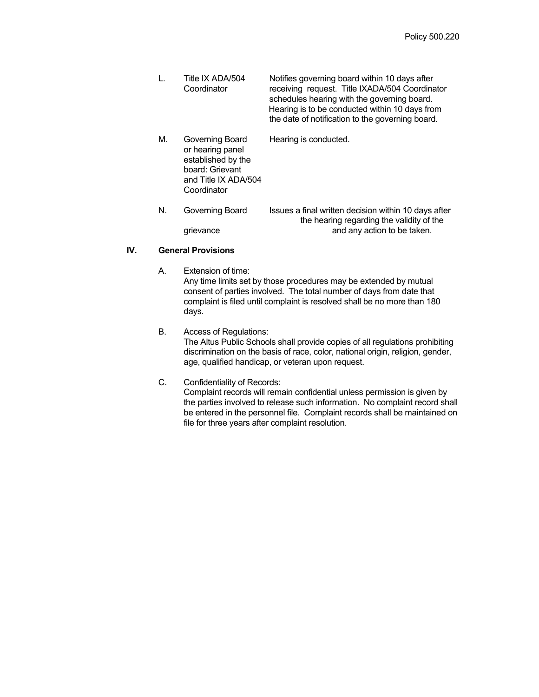- L. Title IX ADA/504 Notifies governing board within 10 days after Coordinator receiving request. Title IXADA/504 Coordinator schedules hearing with the governing board. Hearing is to be conducted within 10 days from the date of notification to the governing board.
- M. Governing Board Hearing is conducted. or hearing panel established by the board: Grievant and Title IX ADA/504 **Coordinator**
- N. Governing Board Issues a final written decision within 10 days after the hearing regarding the validity of the grievance and any action to be taken.

#### **IV. General Provisions**

- A. Extension of time: Any time limits set by those procedures may be extended by mutual consent of parties involved. The total number of days from date that complaint is filed until complaint is resolved shall be no more than 180 days.
- B. Access of Regulations: The Altus Public Schools shall provide copies of all regulations prohibiting discrimination on the basis of race, color, national origin, religion, gender, age, qualified handicap, or veteran upon request.
- C. Confidentiality of Records: Complaint records will remain confidential unless permission is given by the parties involved to release such information. No complaint record shall be entered in the personnel file. Complaint records shall be maintained on file for three years after complaint resolution.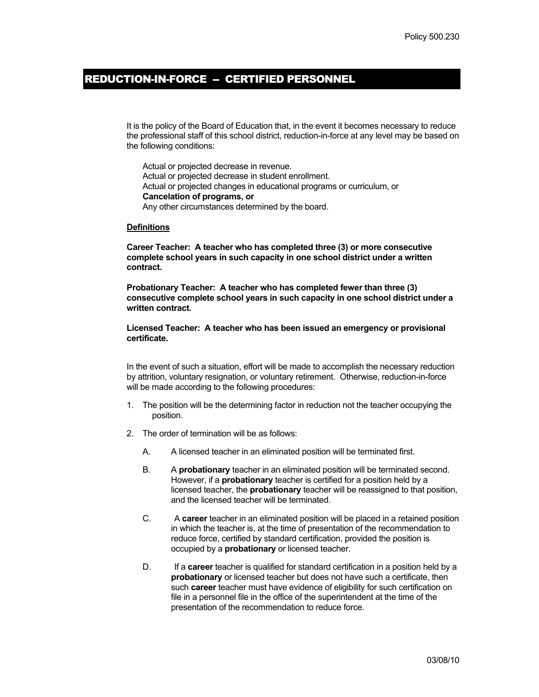# REDUCTION-IN-FORCE -- CERTIFIED PERSONNEL

It is the policy of the Board of Education that, in the event it becomes necessary to reduce the professional staff of this school district, reduction-in-force at any level may be based on the following conditions:

Actual or projected decrease in revenue. Actual or projected decrease in student enrollment. Actual or projected changes in educational programs or curriculum, or **Cancelation of programs, or** Any other circumstances determined by the board.

#### **Definitions**

**Career Teacher: A teacher who has completed three (3) or more consecutive complete school years in such capacity in one school district under a written contract.**

**Probationary Teacher: A teacher who has completed fewer than three (3) consecutive complete school years in such capacity in one school district under a written contract.**

**Licensed Teacher: A teacher who has been issued an emergency or provisional certificate.**

In the event of such a situation, effort will be made to accomplish the necessary reduction by attrition, voluntary resignation, or voluntary retirement. Otherwise, reduction-in-force will be made according to the following procedures:

- 1. The position will be the determining factor in reduction not the teacher occupying the position.
- 2. The order of termination will be as follows:
	- A. A licensed teacher in an eliminated position will be terminated first.
	- B. A **probationary** teacher in an eliminated position will be terminated second. However, if a **probationary** teacher is certified for a position held by a licensed teacher, the **probationary** teacher will be reassigned to that position, and the licensed teacher will be terminated.
	- C. A **career** teacher in an eliminated position will be placed in a retained position in which the teacher is, at the time of presentation of the recommendation to reduce force, certified by standard certification, provided the position is occupied by a **probationary** or licensed teacher.
	- D. If a **career** teacher is qualified for standard certification in a position held by a **probationary** or licensed teacher but does not have such a certificate, then such **career** teacher must have evidence of eligibility for such certification on file in a personnel file in the office of the superintendent at the time of the presentation of the recommendation to reduce force.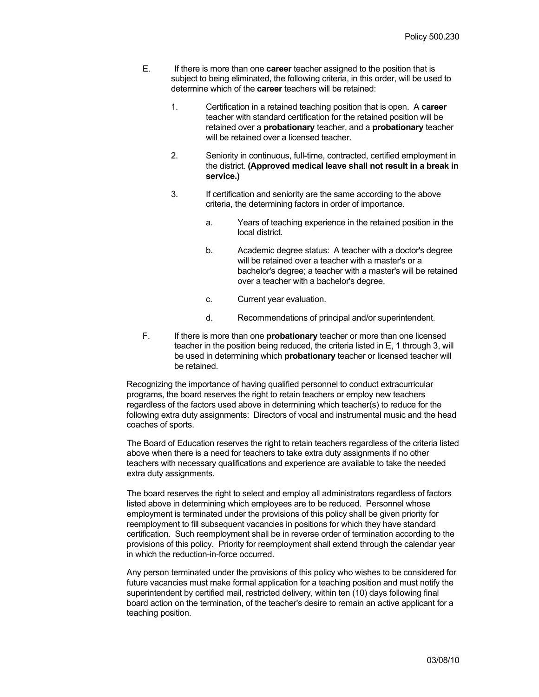- E. If there is more than one **career** teacher assigned to the position that is subject to being eliminated, the following criteria, in this order, will be used to determine which of the **career** teachers will be retained:
	- 1. Certification in a retained teaching position that is open. A **career** teacher with standard certification for the retained position will be retained over a **probationary** teacher, and a **probationary** teacher will be retained over a licensed teacher.
	- 2. Seniority in continuous, full-time, contracted, certified employment in the district. **(Approved medical leave shall not result in a break in service.)**
	- 3. If certification and seniority are the same according to the above criteria, the determining factors in order of importance.
		- a. Years of teaching experience in the retained position in the local district.
		- b. Academic degree status: A teacher with a doctor's degree will be retained over a teacher with a master's or a bachelor's degree; a teacher with a master's will be retained over a teacher with a bachelor's degree.
		- c. Current year evaluation.
		- d. Recommendations of principal and/or superintendent.
- F. If there is more than one **probationary** teacher or more than one licensed teacher in the position being reduced, the criteria listed in E, 1 through 3, will be used in determining which **probationary** teacher or licensed teacher will be retained.

Recognizing the importance of having qualified personnel to conduct extracurricular programs, the board reserves the right to retain teachers or employ new teachers regardless of the factors used above in determining which teacher(s) to reduce for the following extra duty assignments: Directors of vocal and instrumental music and the head coaches of sports.

The Board of Education reserves the right to retain teachers regardless of the criteria listed above when there is a need for teachers to take extra duty assignments if no other teachers with necessary qualifications and experience are available to take the needed extra duty assignments.

The board reserves the right to select and employ all administrators regardless of factors listed above in determining which employees are to be reduced. Personnel whose employment is terminated under the provisions of this policy shall be given priority for reemployment to fill subsequent vacancies in positions for which they have standard certification. Such reemployment shall be in reverse order of termination according to the provisions of this policy. Priority for reemployment shall extend through the calendar year in which the reduction-in-force occurred.

Any person terminated under the provisions of this policy who wishes to be considered for future vacancies must make formal application for a teaching position and must notify the superintendent by certified mail, restricted delivery, within ten (10) days following final board action on the termination, of the teacher's desire to remain an active applicant for a teaching position.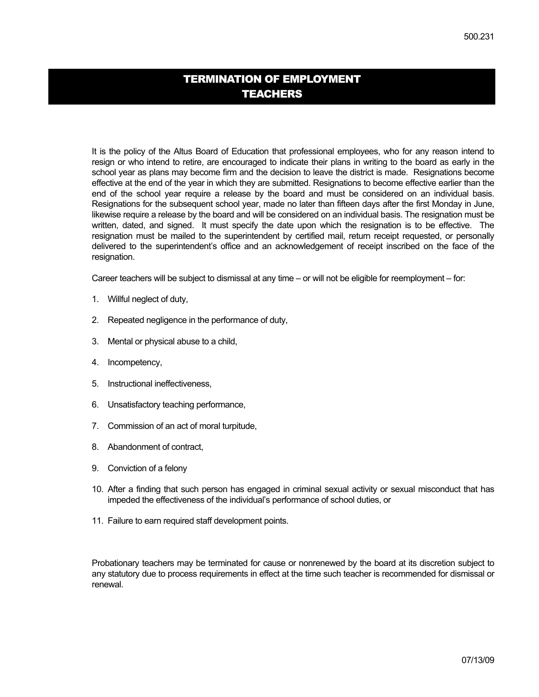### TERMINATION OF EMPLOYMENT **TEACHERS**

It is the policy of the Altus Board of Education that professional employees, who for any reason intend to resign or who intend to retire, are encouraged to indicate their plans in writing to the board as early in the school year as plans may become firm and the decision to leave the district is made. Resignations become effective at the end of the year in which they are submitted. Resignations to become effective earlier than the end of the school year require a release by the board and must be considered on an individual basis. Resignations for the subsequent school year, made no later than fifteen days after the first Monday in June, likewise require a release by the board and will be considered on an individual basis. The resignation must be written, dated, and signed. It must specify the date upon which the resignation is to be effective. The resignation must be mailed to the superintendent by certified mail, return receipt requested, or personally delivered to the superintendent's office and an acknowledgement of receipt inscribed on the face of the resignation.

Career teachers will be subject to dismissal at any time – or will not be eligible for reemployment – for:

- 1. Willful neglect of duty,
- 2. Repeated negligence in the performance of duty,
- 3. Mental or physical abuse to a child,
- 4. Incompetency,
- 5. Instructional ineffectiveness,
- 6. Unsatisfactory teaching performance,
- 7. Commission of an act of moral turpitude,
- 8. Abandonment of contract,
- 9. Conviction of a felony
- 10. After a finding that such person has engaged in criminal sexual activity or sexual misconduct that has impeded the effectiveness of the individual's performance of school duties, or
- 11. Failure to earn required staff development points.

Probationary teachers may be terminated for cause or nonrenewed by the board at its discretion subject to any statutory due to process requirements in effect at the time such teacher is recommended for dismissal or renewal.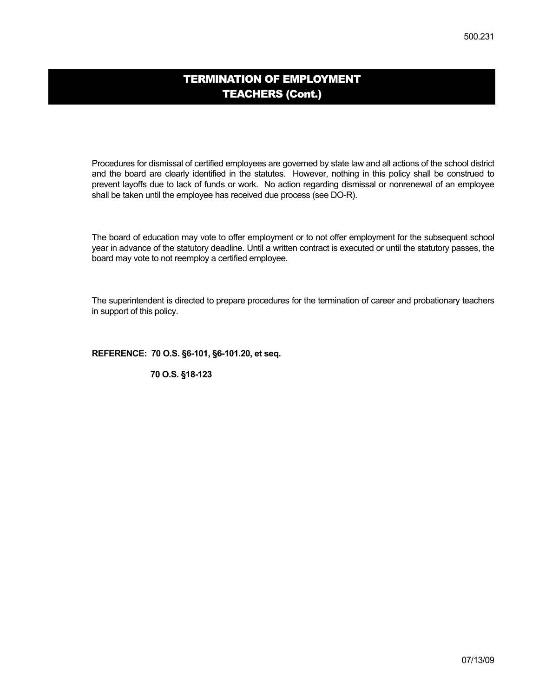## TERMINATION OF EMPLOYMENT TEACHERS (Cont.)

Procedures for dismissal of certified employees are governed by state law and all actions of the school district and the board are clearly identified in the statutes. However, nothing in this policy shall be construed to prevent layoffs due to lack of funds or work. No action regarding dismissal or nonrenewal of an employee shall be taken until the employee has received due process (see DO-R).

The board of education may vote to offer employment or to not offer employment for the subsequent school year in advance of the statutory deadline. Until a written contract is executed or until the statutory passes, the board may vote to not reemploy a certified employee.

The superintendent is directed to prepare procedures for the termination of career and probationary teachers in support of this policy.

**REFERENCE: 70 O.S. §6-101, §6-101.20, et seq.**

 **70 O.S. §18-123**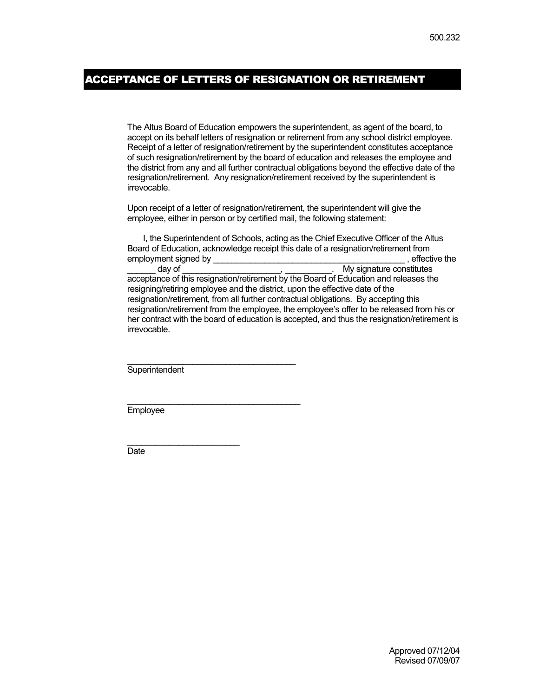# ACCEPTANCE OF LETTERS OF RESIGNATION OR RETIREMENT

The Altus Board of Education empowers the superintendent, as agent of the board, to accept on its behalf letters of resignation or retirement from any school district employee. Receipt of a letter of resignation/retirement by the superintendent constitutes acceptance of such resignation/retirement by the board of education and releases the employee and the district from any and all further contractual obligations beyond the effective date of the resignation/retirement. Any resignation/retirement received by the superintendent is irrevocable.

Upon receipt of a letter of resignation/retirement, the superintendent will give the employee, either in person or by certified mail, the following statement:

I, the Superintendent of Schools, acting as the Chief Executive Officer of the Altus Board of Education, acknowledge receipt this date of a resignation/retirement from employment signed by  $\blacksquare$ \_\_\_\_\_\_ day of \_\_\_\_\_\_\_\_\_\_\_\_\_\_\_\_\_\_\_\_\_, \_\_\_\_\_\_\_\_\_\_. My signature constitutes acceptance of this resignation/retirement by the Board of Education and releases the resigning/retiring employee and the district, upon the effective date of the resignation/retirement, from all further contractual obligations. By accepting this resignation/retirement from the employee, the employee's offer to be released from his or her contract with the board of education is accepted, and thus the resignation/retirement is irrevocable.

**Superintendent** 

 $\mathcal{L}_\text{max}$  , where  $\mathcal{L}_\text{max}$  and  $\mathcal{L}_\text{max}$  and  $\mathcal{L}_\text{max}$ 

\_\_\_\_\_\_\_\_\_\_\_\_\_\_\_\_\_\_\_\_\_\_\_\_\_\_\_\_\_\_\_\_\_\_\_\_\_

\_\_\_\_\_\_\_\_\_\_\_\_\_\_\_\_\_\_\_\_\_\_\_\_

Employee

Date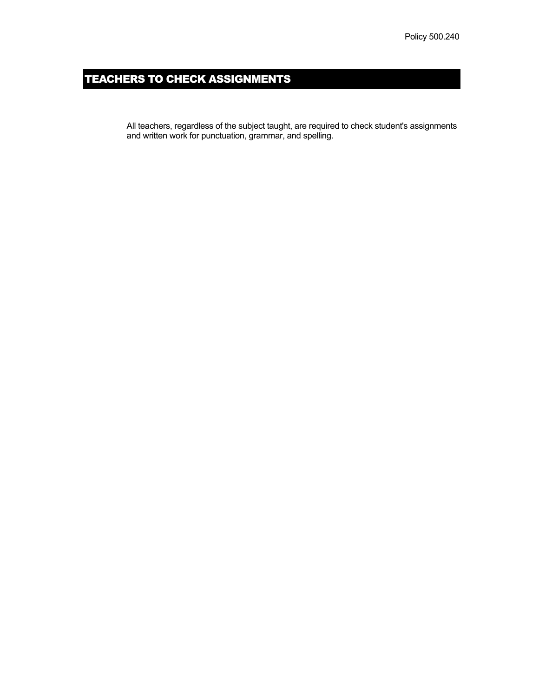# TEACHERS TO CHECK ASSIGNMENTS

All teachers, regardless of the subject taught, are required to check student's assignments and written work for punctuation, grammar, and spelling.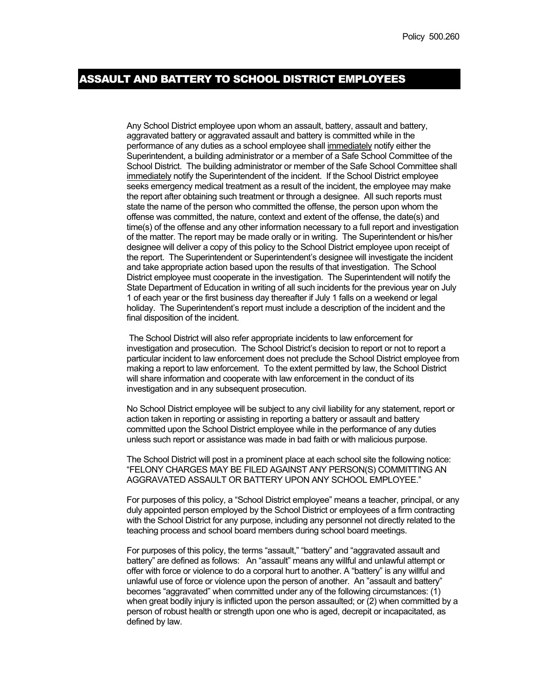#### ASSAULT AND BATTERY TO SCHOOL DISTRICT EMPLOYEES

Any School District employee upon whom an assault, battery, assault and battery, aggravated battery or aggravated assault and battery is committed while in the performance of any duties as a school employee shall immediately notify either the Superintendent, a building administrator or a member of a Safe School Committee of the School District. The building administrator or member of the Safe School Committee shall immediately notify the Superintendent of the incident. If the School District employee seeks emergency medical treatment as a result of the incident, the employee may make the report after obtaining such treatment or through a designee. All such reports must state the name of the person who committed the offense, the person upon whom the offense was committed, the nature, context and extent of the offense, the date(s) and time(s) of the offense and any other information necessary to a full report and investigation of the matter. The report may be made orally or in writing. The Superintendent or his/her designee will deliver a copy of this policy to the School District employee upon receipt of the report. The Superintendent or Superintendent's designee will investigate the incident and take appropriate action based upon the results of that investigation. The School District employee must cooperate in the investigation. The Superintendent will notify the State Department of Education in writing of all such incidents for the previous year on July 1 of each year or the first business day thereafter if July 1 falls on a weekend or legal holiday. The Superintendent's report must include a description of the incident and the final disposition of the incident.

The School District will also refer appropriate incidents to law enforcement for investigation and prosecution. The School District's decision to report or not to report a particular incident to law enforcement does not preclude the School District employee from making a report to law enforcement. To the extent permitted by law, the School District will share information and cooperate with law enforcement in the conduct of its investigation and in any subsequent prosecution.

No School District employee will be subject to any civil liability for any statement, report or action taken in reporting or assisting in reporting a battery or assault and battery committed upon the School District employee while in the performance of any duties unless such report or assistance was made in bad faith or with malicious purpose.

The School District will post in a prominent place at each school site the following notice: "FELONY CHARGES MAY BE FILED AGAINST ANY PERSON(S) COMMITTING AN AGGRAVATED ASSAULT OR BATTERY UPON ANY SCHOOL EMPLOYEE."

For purposes of this policy, a "School District employee" means a teacher, principal, or any duly appointed person employed by the School District or employees of a firm contracting with the School District for any purpose, including any personnel not directly related to the teaching process and school board members during school board meetings.

For purposes of this policy, the terms "assault," "battery" and "aggravated assault and battery" are defined as follows: An "assault" means any willful and unlawful attempt or offer with force or violence to do a corporal hurt to another. A "battery" is any willful and unlawful use of force or violence upon the person of another. An "assault and battery" becomes "aggravated" when committed under any of the following circumstances: (1) when great bodily injury is inflicted upon the person assaulted; or (2) when committed by a person of robust health or strength upon one who is aged, decrepit or incapacitated, as defined by law.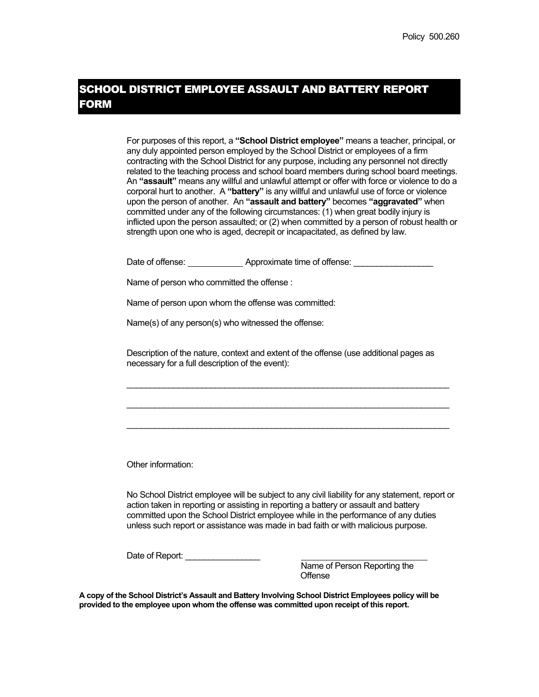### SCHOOL DISTRICT EMPLOYEE ASSAULT AND BATTERY REPORT FORM

For purposes of this report, a **"School District employee"** means a teacher, principal, or any duly appointed person employed by the School District or employees of a firm contracting with the School District for any purpose, including any personnel not directly related to the teaching process and school board members during school board meetings. An **"assault"** means any willful and unlawful attempt or offer with force or violence to do a corporal hurt to another. A **"battery"** is any willful and unlawful use of force or violence upon the person of another. An **"assault and battery"** becomes **"aggravated"** when committed under any of the following circumstances: (1) when great bodily injury is inflicted upon the person assaulted; or (2) when committed by a person of robust health or strength upon one who is aged, decrepit or incapacitated, as defined by law.

Date of offense: example approximate time of offense:

Name of person who committed the offense :

Name of person upon whom the offense was committed:

Name(s) of any person(s) who witnessed the offense:

Description of the nature, context and extent of the offense (use additional pages as necessary for a full description of the event):

 $\mathcal{L}_\text{max}$  , and the contribution of the contribution of the contribution of the contribution of the contribution of the contribution of the contribution of the contribution of the contribution of the contribution of t

\_\_\_\_\_\_\_\_\_\_\_\_\_\_\_\_\_\_\_\_\_\_\_\_\_\_\_\_\_\_\_\_\_\_\_\_\_\_\_\_\_\_\_\_\_\_\_\_\_\_\_\_\_\_\_\_\_\_\_\_\_\_\_\_\_\_\_\_\_

 $\mathcal{L}_\text{max}$  and  $\mathcal{L}_\text{max}$  and  $\mathcal{L}_\text{max}$  and  $\mathcal{L}_\text{max}$  and  $\mathcal{L}_\text{max}$  and  $\mathcal{L}_\text{max}$ 

Other information:

No School District employee will be subject to any civil liability for any statement, report or action taken in reporting or assisting in reporting a battery or assault and battery committed upon the School District employee while in the performance of any duties unless such report or assistance was made in bad faith or with malicious purpose.

Date of Report: \_\_\_\_\_\_\_\_\_\_\_\_\_\_\_\_\_\_\_\_\_

Name of Person Reporting the **Offense** 

**A copy of the School District's Assault and Battery Involving School District Employees policy will be provided to the employee upon whom the offense was committed upon receipt of this report.**